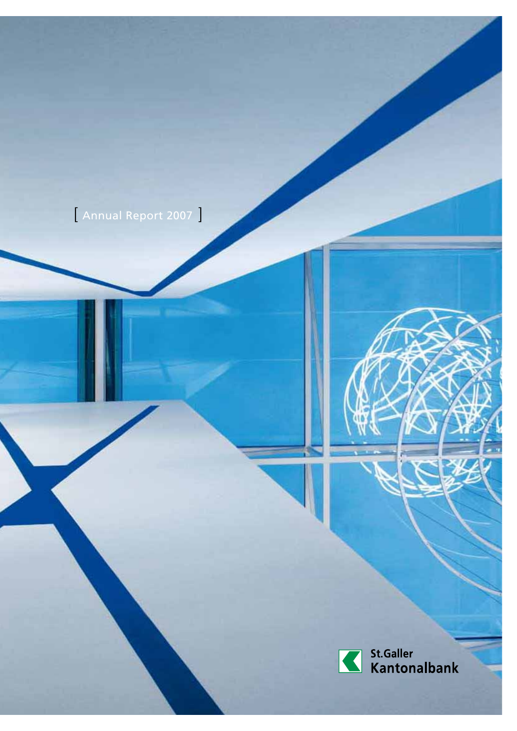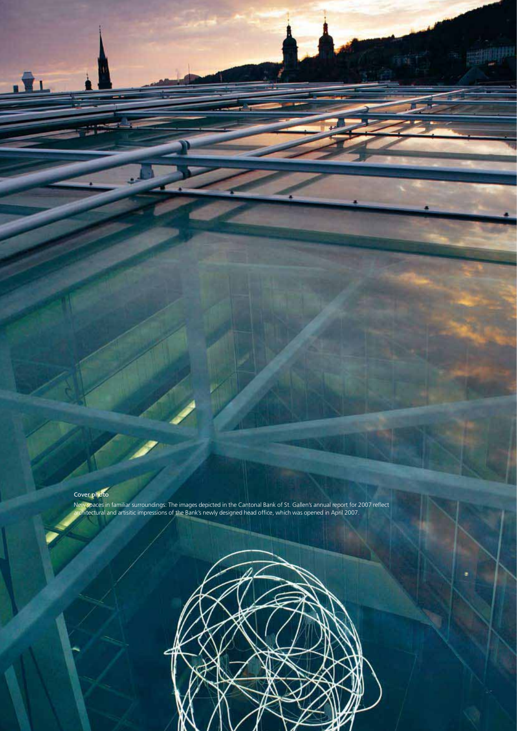Cover photo New spaces in familiar surroundings: The images depicted in the Cantonal Bank of St. Gallen's annual report for 2007 reflect

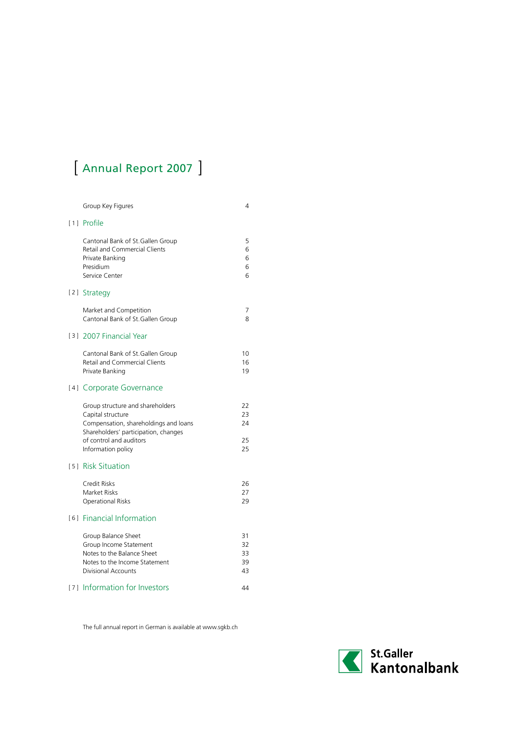# [ Annual Report 2007 ]

| Group Key Figures                                                                                                                                                                       | 4                          |
|-----------------------------------------------------------------------------------------------------------------------------------------------------------------------------------------|----------------------------|
| [1] Profile                                                                                                                                                                             |                            |
| Cantonal Bank of St. Gallen Group<br>Retail and Commercial Clients<br>Private Banking<br>Presidium<br>Service Center                                                                    | 5<br>6<br>6<br>6<br>6      |
| [2] Strategy                                                                                                                                                                            |                            |
| Market and Competition<br>Cantonal Bank of St. Gallen Group                                                                                                                             | 7<br>8                     |
| [3] 2007 Financial Year                                                                                                                                                                 |                            |
| Cantonal Bank of St. Gallen Group<br>Retail and Commercial Clients<br>Private Banking                                                                                                   | 10<br>16<br>19             |
| [4] Corporate Governance                                                                                                                                                                |                            |
| Group structure and shareholders<br>Capital structure<br>Compensation, shareholdings and loans<br>Shareholders' participation, changes<br>of control and auditors<br>Information policy | 22<br>23<br>24<br>25<br>25 |
| [5] Risk Situation                                                                                                                                                                      |                            |
| <b>Credit Risks</b><br>Market Risks<br>Operational Risks                                                                                                                                | 26<br>27<br>29             |
| [6] Financial Information                                                                                                                                                               |                            |
| Group Balance Sheet<br>Group Income Statement<br>Notes to the Balance Sheet<br>Notes to the Income Statement<br>Divisional Accounts                                                     | 31<br>32<br>33<br>39<br>43 |
| [7] Information for Investors                                                                                                                                                           | 44                         |

The full annual report in German is available at www.sgkb.ch

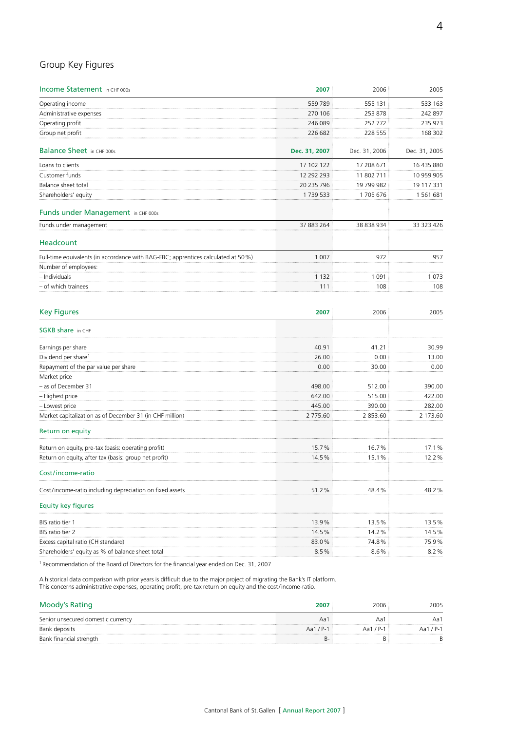# Group Key Figures

| Income Statement in CHF 000s                                                      | 2007          | 2006          | 2005          |
|-----------------------------------------------------------------------------------|---------------|---------------|---------------|
| Operating income                                                                  | 559789        | 555 131       | 533 163       |
| Administrative expenses                                                           | 270 106       | 253 878       | 242 897       |
| Operating profit                                                                  | 246 089       | 252 772       | 235 973       |
| Group net profit                                                                  | 226 682       | 228 555       | 168 302       |
| <b>Balance Sheet</b> in CHF 000s                                                  | Dec. 31, 2007 | Dec. 31, 2006 | Dec. 31, 2005 |
| Loans to clients                                                                  | 17 102 122    | 17 208 671    | 16 435 880    |
| Customer funds                                                                    | 12 292 293    | 11 802 711    | 10 959 905    |
| Balance sheet total                                                               | 20 235 796    | 19 799 982    | 19 117 331    |
| Shareholders' equity                                                              | 1739533       | 1705676       | 1561681       |
| Funds under Management in CHF 000s                                                |               |               |               |
| Funds under management                                                            | 37 883 264    | 38 838 934    | 33 323 426    |
| Headcount                                                                         |               |               |               |
| Full-time equivalents (in accordance with BAG-FBC; apprentices calculated at 50%) | 1 0 0 7       | 972           | 957           |
| Number of employees:                                                              |               |               |               |
| - Individuals                                                                     | 1 1 3 2       | 1 0 9 1       | 1 0 7 3       |
| - of which trainees                                                               | 111           | 108           | 108           |
| <b>Key Figures</b>                                                                | 2007          | 2006          | 2005          |
| <b>SGKB share</b> in CHF                                                          |               |               |               |
| Earnings per share                                                                | 40.91         | 41.21         | 30.99         |
| Dividend per share <sup>1</sup>                                                   | 26.00         | 0.00          | 13.00         |
| Repayment of the par value per share                                              | 0.00          | 30.00         | 0.00          |
| Market price                                                                      |               |               |               |
| - as of December 31                                                               | 498.00        | 512.00        | 390.00        |
| - Highest price                                                                   | 642.00        | 515.00        | 422.00        |
| - Lowest price                                                                    | 445.00        | 390.00        | 282.00        |
| Market capitalization as of December 31 (in CHF million)                          | 2 775.60      | 2 853.60      | 2 173.60      |
| Return on equity                                                                  |               |               |               |
| Return on equity, pre-tax (basis: operating profit)                               | 15.7%         | 16.7%         | 17.1%         |
| Return on equity, after tax (basis: group net profit)                             | 14.5%         | 15.1%         | 12.2%         |
| Cost/income-ratio                                                                 |               |               |               |
| Cost/income-ratio including depreciation on fixed assets                          | 51.2%         | 48.4%         | 48.2%         |
| <b>Equity key figures</b>                                                         |               |               |               |
| BIS ratio tier 1                                                                  | 13.9%         | 13.5%         | 13.5%         |
| BIS ratio tier 2                                                                  | 14.5%         | 14.2%         | 14.5%         |
| Excess capital ratio (CH standard)                                                | 83.0%         | 74.8%         | 75.9%         |
| Shareholders' equity as % of balance sheet total                                  | 8.5%          | 8.6%          | 8.2%          |

1 Recommendation of the Board of Directors for the financial year ended on Dec. 31, 2007

A historical data comparison with prior years is difficult due to the major project of migrating the Bank's IT platform. This concerns administrative expenses, operating profit, pre-tax return on equity and the cost / income-ratio.

| <b>Moody's Rating</b>              |              | 2006    | 2005  |
|------------------------------------|--------------|---------|-------|
| Senior unsecured domestic currency | Aa           |         |       |
| Bank deposits                      | Aa $1$ / P-1 | Aa1/P-1 | / P-1 |
| Bank financial strength            |              |         |       |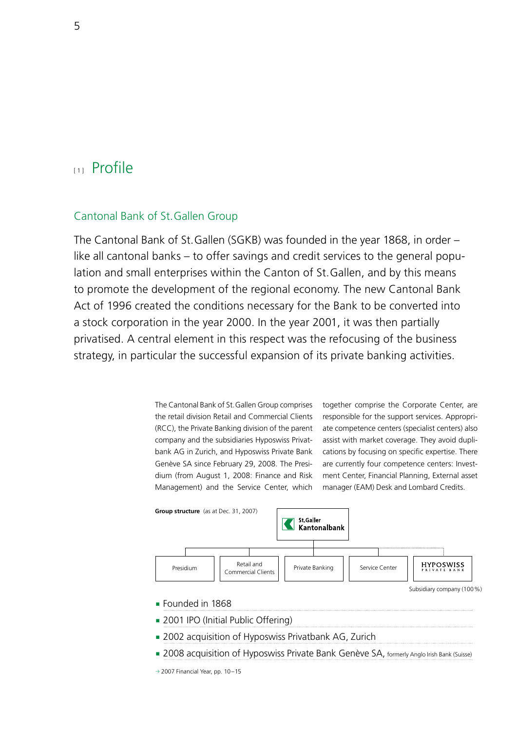# $\overline{ }$  profile

# Cantonal Bank of St.Gallen Group

The Cantonal Bank of St.Gallen (SGKB) was founded in the year 1868, in order – like all cantonal banks – to offer savings and credit services to the general population and small enterprises within the Canton of St.Gallen, and by this means to promote the development of the regional economy. The new Cantonal Bank Act of 1996 created the conditions necessary for the Bank to be converted into a stock corporation in the year 2000. In the year 2001, it was then partially privatised. A central element in this respect was the refocusing of the business strategy, in particular the successful expansion of its private banking activities.

> The Cantonal Bank of St.Gallen Group comprises the retail division Retail and Commercial Clients (RCC), the Private Banking division of the parent company and the subsidiaries Hyposwiss Privatbank AG in Zurich, and Hyposwiss Private Bank Genève SA since February 29, 2008. The Presidium (from August 1, 2008: Finance and Risk Management) and the Service Center, which

together comprise the Corporate Center, are responsible for the support services. Appropriate competence centers (specialist centers) also assist with market coverage. They avoid duplications by focusing on specific expertise. There are currently four competence centers: Investment Center, Financial Planning, External asset manager (EAM) Desk and Lombard Credits.



Subsidiary company (100%)

- . Founded in 1868
- . 2001 IPO (Initial Public Offering)
- . 2002 acquisition of Hyposwiss Privatbank AG, Zurich
- **. 2008 acquisition of Hyposwiss Private Bank Genève SA, formerly Anglo Irish Bank (Suisse)**

 $\rightarrow$  2007 Financial Year, pp. 10–15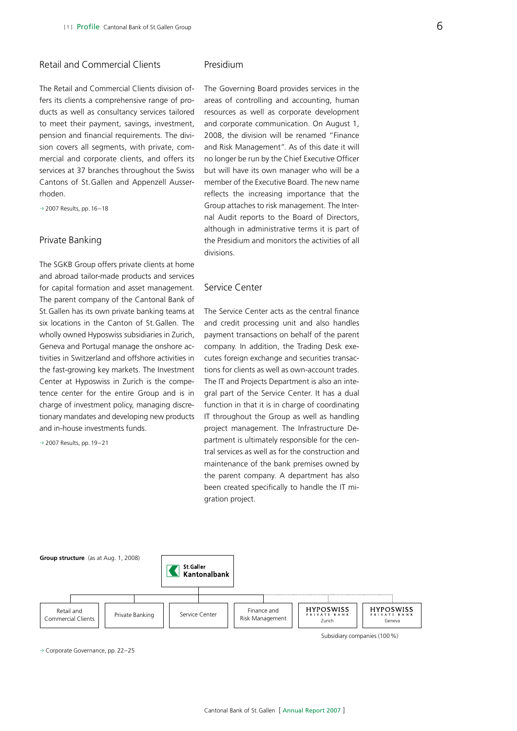# Retail and Commercial Clients

#### Presidium

The Retail and Commercial Clients division offers its clients a comprehensive range of products as well as consultancy services tailored to meet their payment, savings, investment, pension and financial requirements. The division covers all segments, with private, commercial and corporate clients, and offers its services at 37 branches throughout the Swiss Cantons of St.Gallen and Appenzell Ausserrhoden.

 $\rightarrow$  2007 Results, pp. 16–18

#### Private Banking

The SGKB Group offers private clients at home and abroad tailor-made products and services for capital formation and asset management. The parent company of the Cantonal Bank of St.Gallen has its own private banking teams at six locations in the Canton of St.Gallen. The wholly owned Hyposwiss subsidiaries in Zurich, Geneva and Portugal manage the onshore activities in Switzerland and offshore activities in the fast-growing key markets. The Investment Center at Hyposwiss in Zurich is the competence center for the entire Group and is in charge of investment policy, managing discretionary mandates and developing new products and in-house investments funds.

 $\rightarrow$  2007 Results, pp. 19–21

The Governing Board provides services in the areas of controlling and accounting, human resources as well as corporate development and corporate communication. On August 1, 2008, the division will be renamed "Finance and Risk Management". As of this date it will no longer be run by the Chief Executive Officer but will have its own manager who will be a member of the Executive Board. The new name reflects the increasing importance that the Group attaches to risk management. The Internal Audit reports to the Board of Directors, although in administrative terms it is part of the Presidium and monitors the activities of all divisions.

#### Service Center

The Service Center acts as the central finance and credit processing unit and also handles payment transactions on behalf of the parent company. In addition, the Trading Desk executes foreign exchange and securities transactions for clients as well as own-account trades. The IT and Projects Department is also an integral part of the Service Center. It has a dual function in that it is in charge of coordinating IT throughout the Group as well as handling project management. The Infrastructure Department is ultimately responsible for the central services as well as for the construction and maintenance of the bank premises owned by the parent company. A department has also been created specifically to handle the IT migration project.



 $\rightarrow$  Corporate Governance, pp. 22–25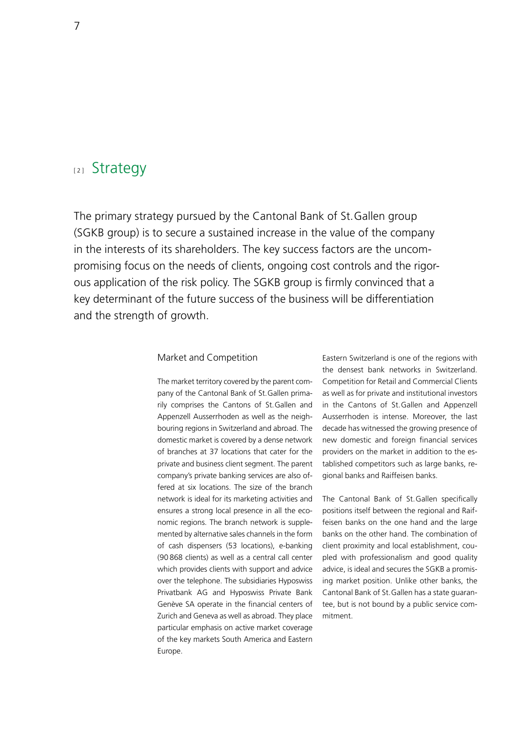# [2] Strategy

The primary strategy pursued by the Cantonal Bank of St.Gallen group (SGKB group) is to secure a sustained increase in the value of the company in the interests of its shareholders. The key success factors are the uncompromising focus on the needs of clients, ongoing cost controls and the rigorous application of the risk policy. The SGKB group is firmly convinced that a key determinant of the future success of the business will be differentiation and the strength of growth.

# Market and Competition

The market territory covered by the parent company of the Cantonal Bank of St.Gallen primarily comprises the Cantons of St.Gallen and Appenzell Ausserrhoden as well as the neighbouring regions in Switzerland and abroad. The domestic market is covered by a dense network of branches at 37 locations that cater for the private and business client segment. The parent company's private banking services are also offered at six locations. The size of the branch network is ideal for its marketing activities and ensures a strong local presence in all the economic regions. The branch network is supplemented by alternative sales channels in the form of cash dispensers (53 locations), e-banking (90 868 clients) as well as a central call center which provides clients with support and advice over the telephone. The subsidiaries Hyposwiss Privatbank AG and Hyposwiss Private Bank Genève SA operate in the financial centers of Zurich and Geneva as well as abroad. They place particular emphasis on active market coverage of the key markets South America and Eastern Europe.

Eastern Switzerland is one of the regions with the densest bank networks in Switzerland. Competition for Retail and Commercial Clients as well as for private and institutional investors in the Cantons of St.Gallen and Appenzell Ausserrhoden is intense. Moreover, the last decade has witnessed the growing presence of new domestic and foreign financial services providers on the market in addition to the established competitors such as large banks, regional banks and Raiffeisen banks.

The Cantonal Bank of St.Gallen specifically positions itself between the regional and Raiffeisen banks on the one hand and the large banks on the other hand. The combination of client proximity and local establishment, coupled with professionalism and good quality advice, is ideal and secures the SGKB a promising market position. Unlike other banks, the Cantonal Bank of St.Gallen has a state guarantee, but is not bound by a public service commitment.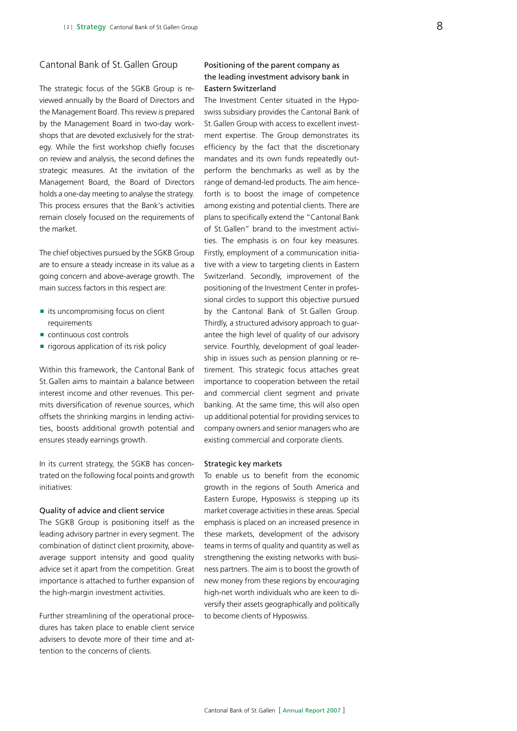# Cantonal Bank of St.Gallen Group

The strategic focus of the SGKB Group is reviewed annually by the Board of Directors and the Management Board. This review is prepared by the Management Board in two-day workshops that are devoted exclusively for the strategy. While the first workshop chiefly focuses on review and analysis, the second defines the strategic measures. At the invitation of the Management Board, the Board of Directors holds a one-day meeting to analyse the strategy. This process ensures that the Bank's activities remain closely focused on the requirements of the market.

The chief objectives pursued by the SGKB Group are to ensure a steady increase in its value as a going concern and above-average growth. The main success factors in this respect are:

- **E** its uncompromising focus on client requirements
- . continuous cost controls
- $\blacksquare$  rigorous application of its risk policy

Within this framework, the Cantonal Bank of St.Gallen aims to maintain a balance between interest income and other revenues. This permits diversification of revenue sources, which offsets the shrinking margins in lending activities, boosts additional growth potential and ensures steady earnings growth.

In its current strategy, the SGKB has concentrated on the following focal points and growth initiatives:

#### Quality of advice and client service

The SGKB Group is positioning itself as the leading advisory partner in every segment. The combination of distinct client proximity, aboveaverage support intensity and good quality advice set it apart from the competition. Great importance is attached to further expansion of the high-margin investment activities.

Further streamlining of the operational procedures has taken place to enable client service advisers to devote more of their time and attention to the concerns of clients.

# Positioning of the parent company as the leading investment advisory bank in Eastern Switzerland

The Investment Center situated in the Hyposwiss subsidiary provides the Cantonal Bank of St.Gallen Group with access to excellent investment expertise. The Group demonstrates its efficiency by the fact that the discretionary mandates and its own funds repeatedly outperform the benchmarks as well as by the range of demand-led products. The aim henceforth is to boost the image of competence among existing and potential clients. There are plans to specifically extend the "Cantonal Bank of St.Gallen" brand to the investment activities. The emphasis is on four key measures. Firstly, employment of a communication initiative with a view to targeting clients in Eastern Switzerland. Secondly, improvement of the positioning of the Investment Center in professional circles to support this objective pursued by the Cantonal Bank of St.Gallen Group. Thirdly, a structured advisory approach to guarantee the high level of quality of our advisory service. Fourthly, development of goal leadership in issues such as pension planning or retirement. This strategic focus attaches great importance to cooperation between the retail and commercial client segment and private banking. At the same time, this will also open up additional potential for providing services to company owners and senior managers who are existing commercial and corporate clients.

#### Strategic key markets

To enable us to benefit from the economic growth in the regions of South America and Eastern Europe, Hyposwiss is stepping up its market coverage activities in these areas. Special emphasis is placed on an increased presence in these markets, development of the advisory teams in terms of quality and quantity as well as strengthening the existing networks with business partners. The aim is to boost the growth of new money from these regions by encouraging high-net worth individuals who are keen to diversify their assets geographically and politically to become clients of Hyposwiss.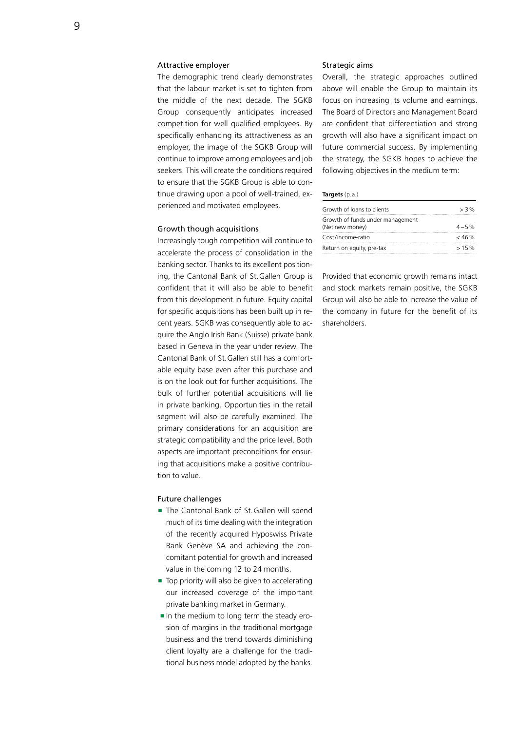#### Attractive employer

The demographic trend clearly demonstrates that the labour market is set to tighten from the middle of the next decade. The SGKB Group consequently anticipates increased competition for well qualified employees. By specifically enhancing its attractiveness as an employer, the image of the SGKB Group will continue to improve among employees and job seekers. This will create the conditions required to ensure that the SGKB Group is able to continue drawing upon a pool of well-trained, experienced and motivated employees.

#### Growth though acquisitions

Increasingly tough competition will continue to accelerate the process of consolidation in the banking sector. Thanks to its excellent positioning, the Cantonal Bank of St.Gallen Group is confident that it will also be able to benefit from this development in future. Equity capital for specific acquisitions has been built up in recent years. SGKB was consequently able to acquire the Anglo Irish Bank (Suisse) private bank based in Geneva in the year under review. The Cantonal Bank of St.Gallen still has a comfortable equity base even after this purchase and is on the look out for further acquisitions. The bulk of further potential acquisitions will lie in private banking. Opportunities in the retail segment will also be carefully examined. The primary considerations for an acquisition are strategic compatibility and the price level. Both aspects are important preconditions for ensuring that acquisitions make a positive contribution to value.

#### Future challenges

- The Cantonal Bank of St. Gallen will spend much of its time dealing with the integration of the recently acquired Hyposwiss Private Bank Genève SA and achieving the concomitant potential for growth and increased value in the coming 12 to 24 months.
- Top priority will also be given to accelerating our increased coverage of the important private banking market in Germany.
- In the medium to long term the steady erosion of margins in the traditional mortgage business and the trend towards diminishing client loyalty are a challenge for the traditional business model adopted by the banks.

#### Strategic aims

Overall, the strategic approaches outlined above will enable the Group to maintain its focus on increasing its volume and earnings. The Board of Directors and Management Board are confident that differentiation and strong growth will also have a significant impact on future commercial success. By implementing the strategy, the SGKB hopes to achieve the following objectives in the medium term:

#### **Targets** (p.a.)

| Growth of loans to clients       | > 3%      |
|----------------------------------|-----------|
| Growth of funds under management |           |
| (Net new money)                  | $4 - 5\%$ |
| Cost/income-ratio                | $<$ 46 %  |
| Return on equity, pre-tax        | >15%      |
|                                  |           |

Provided that economic growth remains intact and stock markets remain positive, the SGKB Group will also be able to increase the value of the company in future for the benefit of its shareholders.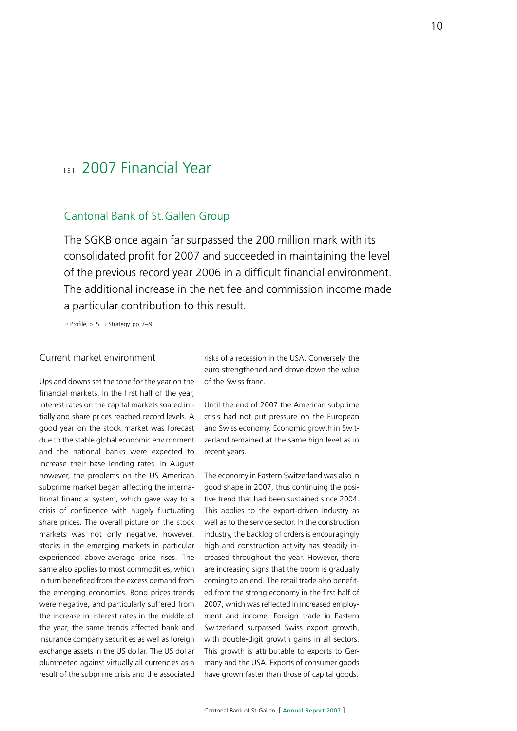# $\overline{3}$  2007 Financial Year

# Cantonal Bank of St.Gallen Group

The SGKB once again far surpassed the 200 million mark with its consolidated profit for 2007 and succeeded in maintaining the level of the previous record year 2006 in a difficult financial environment. The additional increase in the net fee and commission income made a particular contribution to this result.

 $\rightarrow$  Profile, p. 5  $\rightarrow$  Strategy, pp. 7–9

# Current market environment

Ups and downs set the tone for the year on the financial markets. In the first half of the year, interest rates on the capital markets soared initially and share prices reached record levels. A good year on the stock market was forecast due to the stable global economic environment and the national banks were expected to increase their base lending rates. In August however, the problems on the US American subprime market began affecting the international financial system, which gave way to a crisis of confidence with hugely fluctuating share prices. The overall picture on the stock markets was not only negative, however: stocks in the emerging markets in particular experienced above-average price rises. The same also applies to most commodities, which in turn benefited from the excess demand from the emerging economies. Bond prices trends were negative, and particularly suffered from the increase in interest rates in the middle of the year, the same trends affected bank and insurance company securities as well as foreign exchange assets in the US dollar. The US dollar plummeted against virtually all currencies as a result of the subprime crisis and the associated

risks of a recession in the USA. Conversely, the euro strengthened and drove down the value of the Swiss franc.

Until the end of 2007 the American subprime crisis had not put pressure on the European and Swiss economy. Economic growth in Switzerland remained at the same high level as in recent years.

The economy in Eastern Switzerland was also in good shape in 2007, thus continuing the positive trend that had been sustained since 2004. This applies to the export-driven industry as well as to the service sector. In the construction industry, the backlog of orders is encouragingly high and construction activity has steadily increased throughout the year. However, there are increasing signs that the boom is gradually coming to an end. The retail trade also benefited from the strong economy in the first half of 2007, which was reflected in increased employment and income. Foreign trade in Eastern Switzerland surpassed Swiss export growth, with double-digit growth gains in all sectors. This growth is attributable to exports to Germany and the USA. Exports of consumer goods have grown faster than those of capital goods.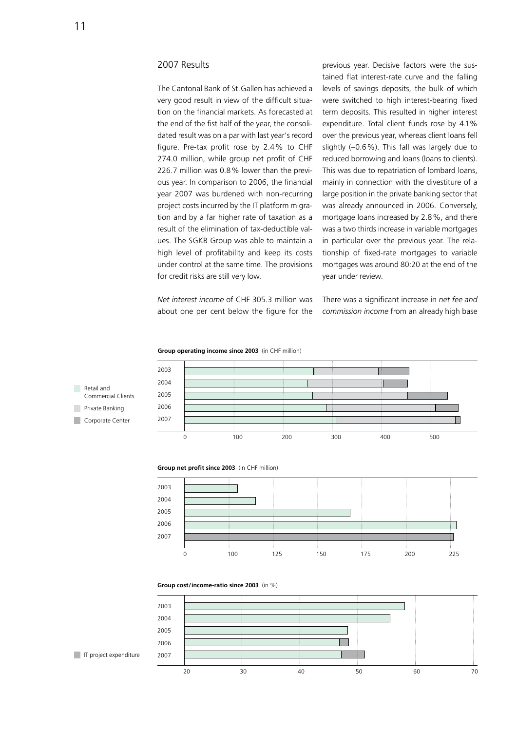## 2007 Results

The Cantonal Bank of St.Gallen has achieved a very good result in view of the difficult situation on the financial markets. As forecasted at the end of the fist half of the year, the consolidated result was on a par with last year's record figure. Pre-tax profit rose by 2.4% to CHF 274.0 million, while group net profit of CHF 226.7 million was 0.8% lower than the previous year. In comparison to 2006, the financial year 2007 was burdened with non-recurring project costs incurred by the IT platform migration and by a far higher rate of taxation as a result of the elimination of tax-deductible values. The SGKB Group was able to maintain a high level of profitability and keep its costs under control at the same time. The provisions for credit risks are still very low.

*Net interest income* of CHF 305.3 million was about one per cent below the figure for the previous year. Decisive factors were the sustained flat interest-rate curve and the falling levels of savings deposits, the bulk of which were switched to high interest-bearing fixed term deposits. This resulted in higher interest expenditure. Total client funds rose by 4.1% over the previous year, whereas client loans fell slightly (–0.6%). This fall was largely due to reduced borrowing and loans (loans to clients). This was due to repatriation of lombard loans, mainly in connection with the divestiture of a large position in the private banking sector that was already announced in 2006. Conversely, mortgage loans increased by 2.8%, and there was a two thirds increase in variable mortgages in particular over the previous year. The relationship of fixed-rate mortgages to variable mortgages was around 80:20 at the end of the year under review.

There was a significant increase in *net fee and commission income* from an already high base







**Group net profit since 2003** (in CHF million)



**Group cost/income-ratio since 2003** (in %)



IT project expenditure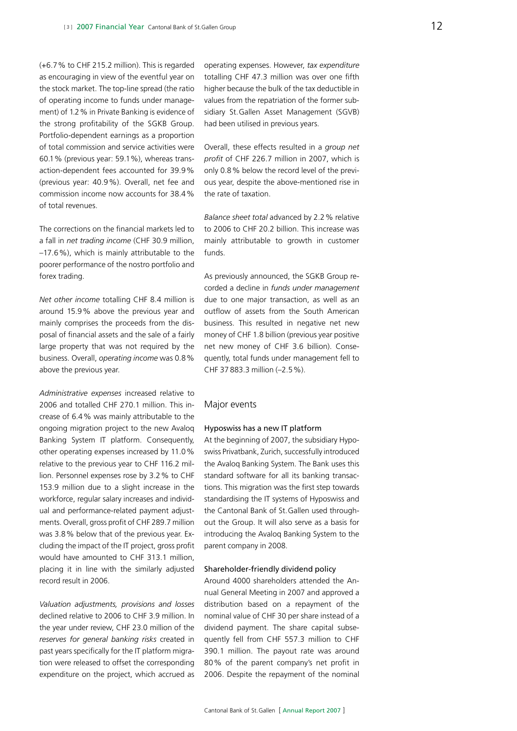(+6.7% to CHF 215.2 million). This is regarded as encouraging in view of the eventful year on the stock market. The top-line spread (the ratio of operating income to funds under management) of 1.2% in Private Banking is evidence of the strong profitability of the SGKB Group. Portfolio-dependent earnings as a proportion of total commission and service activities were 60.1% (previous year: 59.1%), whereas transaction-dependent fees accounted for 39.9% (previous year: 40.9%). Overall, net fee and commission income now accounts for 38.4% of total revenues.

The corrections on the financial markets led to a fall in *net trading income* (CHF 30.9 million, –17.6%), which is mainly attributable to the poorer performance of the nostro portfolio and forex trading.

*Net other income* totalling CHF 8.4 million is around 15.9% above the previous year and mainly comprises the proceeds from the disposal of financial assets and the sale of a fairly large property that was not required by the business. Overall, *operating income* was 0.8% above the previous year.

*Administrative expenses* increased relative to 2006 and totalled CHF 270.1 million. This increase of 6.4% was mainly attributable to the ongoing migration project to the new Avaloq Banking System IT platform. Consequently, other operating expenses increased by 11.0% relative to the previous year to CHF 116.2 million. Personnel expenses rose by 3.2% to CHF 153.9 million due to a slight increase in the workforce, regular salary increases and individual and performance-related payment adjustments. Overall, gross profit of CHF 289.7 million was 3.8% below that of the previous year. Excluding the impact of the IT project, gross profit would have amounted to CHF 313.1 million, placing it in line with the similarly adjusted record result in 2006.

*Valuation adjustments, provisions and losses* declined relative to 2006 to CHF 3.9 million. In the year under review, CHF 23.0 million of the *reserves for general banking risks* created in past years specifically for the IT platform migration were released to offset the corresponding expenditure on the project, which accrued as operating expenses. However, *tax expenditure* totalling CHF 47.3 million was over one fifth higher because the bulk of the tax deductible in values from the repatriation of the former subsidiary St.Gallen Asset Management (SGVB) had been utilised in previous years.

Overall, these effects resulted in a *group net profit* of CHF 226.7 million in 2007, which is only 0.8% below the record level of the previous year, despite the above-mentioned rise in the rate of taxation.

*Balance sheet total* advanced by 2.2% relative to 2006 to CHF 20.2 billion. This increase was mainly attributable to growth in customer funds.

As previously announced, the SGKB Group recorded a decline in *funds under management*  due to one major transaction, as well as an outflow of assets from the South American business. This resulted in negative net new money of CHF 1.8 billion (previous year positive net new money of CHF 3.6 billion). Consequently, total funds under management fell to CHF 37 883.3 million (–2.5%).

#### Major events

### Hyposwiss has a new IT platform

At the beginning of 2007, the subsidiary Hyposwiss Privatbank, Zurich, successfully introduced the Avaloq Banking System. The Bank uses this standard software for all its banking transactions. This migration was the first step towards standardising the IT systems of Hyposwiss and the Cantonal Bank of St.Gallen used throughout the Group. It will also serve as a basis for introducing the Avaloq Banking System to the parent company in 2008.

#### Shareholder-friendly dividend policy

Around 4000 shareholders attended the Annual General Meeting in 2007 and approved a distribution based on a repayment of the nominal value of CHF 30 per share instead of a dividend payment. The share capital subsequently fell from CHF 557.3 million to CHF 390.1 million. The payout rate was around 80% of the parent company's net profit in 2006. Despite the repayment of the nominal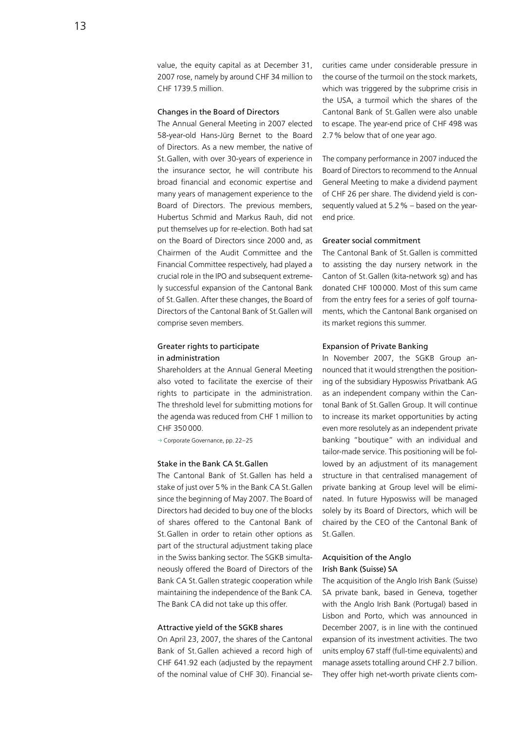value, the equity capital as at December 31, 2007 rose, namely by around CHF 34 million to CHF 1739.5 million.

#### Changes in the Board of Directors

The Annual General Meeting in 2007 elected 58-year-old Hans-Jürg Bernet to the Board of Directors. As a new member, the native of St.Gallen, with over 30-years of experience in the insurance sector, he will contribute his broad financial and economic expertise and many years of management experience to the Board of Directors. The previous members, Hubertus Schmid and Markus Rauh, did not put themselves up for re-election. Both had sat on the Board of Directors since 2000 and, as Chairmen of the Audit Committee and the Financial Committee respectively, had played a crucial role in the IPO and subsequent extremely successful expansion of the Cantonal Bank of St.Gallen. After these changes, the Board of Directors of the Cantonal Bank of St.Gallen will comprise seven members.

## Greater rights to participate in administration

Shareholders at the Annual General Meeting also voted to facilitate the exercise of their rights to participate in the administration. The threshold level for submitting motions for the agenda was reduced from CHF 1 million to CHF 350 000.

 $\rightarrow$  Corporate Governance, pp. 22–25

#### Stake in the Bank CA St.Gallen

The Cantonal Bank of St.Gallen has held a stake of just over 5% in the Bank CA St.Gallen since the beginning of May 2007. The Board of Directors had decided to buy one of the blocks of shares offered to the Cantonal Bank of St.Gallen in order to retain other options as part of the structural adjustment taking place in the Swiss banking sector. The SGKB simultaneously offered the Board of Directors of the Bank CA St.Gallen strategic cooperation while maintaining the independence of the Bank CA. The Bank CA did not take up this offer.

#### Attractive yield of the SGKB shares

On April 23, 2007, the shares of the Cantonal Bank of St.Gallen achieved a record high of CHF 641.92 each (adjusted by the repayment of the nominal value of CHF 30). Financial securities came under considerable pressure in the course of the turmoil on the stock markets, which was triggered by the subprime crisis in the USA, a turmoil which the shares of the Cantonal Bank of St.Gallen were also unable to escape. The year-end price of CHF 498 was 2.7% below that of one year ago.

The company performance in 2007 induced the Board of Directors to recommend to the Annual General Meeting to make a dividend payment of CHF 26 per share. The dividend yield is consequently valued at 5.2% – based on the yearend price.

#### Greater social commitment

The Cantonal Bank of St.Gallen is committed to assisting the day nursery network in the Canton of St.Gallen (kita-network sg) and has donated CHF 100 000. Most of this sum came from the entry fees for a series of golf tournaments, which the Cantonal Bank organised on its market regions this summer.

#### Expansion of Private Banking

In November 2007, the SGKB Group announced that it would strengthen the positioning of the subsidiary Hyposwiss Privatbank AG as an independent company within the Cantonal Bank of St.Gallen Group. It will continue to increase its market opportunities by acting even more resolutely as an independent private banking "boutique" with an individual and tailor-made service. This positioning will be followed by an adjustment of its management structure in that centralised management of private banking at Group level will be eliminated. In future Hyposwiss will be managed solely by its Board of Directors, which will be chaired by the CEO of the Cantonal Bank of St.Gallen.

## Acquisition of the Anglo Irish Bank (Suisse) SA

The acquisition of the Anglo Irish Bank (Suisse) SA private bank, based in Geneva, together with the Anglo Irish Bank (Portugal) based in Lisbon and Porto, which was announced in December 2007, is in line with the continued expansion of its investment activities. The two units employ 67 staff (full-time equivalents) and manage assets totalling around CHF 2.7 billion. They offer high net-worth private clients com-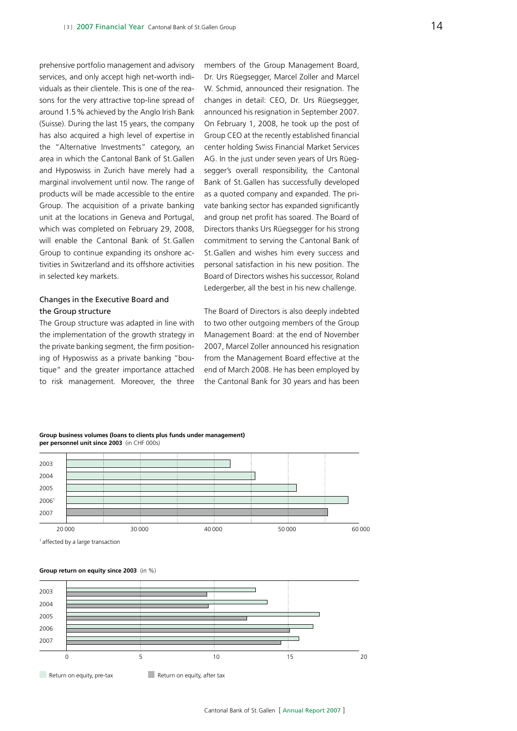prehensive portfolio management and advisory services, and only accept high net-worth individuals as their clientele. This is one of the reasons for the very attractive top-line spread of around 1.5% achieved by the Anglo Irish Bank (Suisse). During the last 15 years, the company has also acquired a high level of expertise in the "Alternative Investments" category, an area in which the Cantonal Bank of St.Gallen and Hyposwiss in Zurich have merely had a marginal involvement until now. The range of products will be made accessible to the entire Group. The acquisition of a private banking unit at the locations in Geneva and Portugal, which was completed on February 29, 2008, will enable the Cantonal Bank of St.Gallen Group to continue expanding its onshore activities in Switzerland and its offshore activities in selected key markets.

### Changes in the Executive Board and the Group structure

The Group structure was adapted in line with the implementation of the growth strategy in the private banking segment, the firm positioning of Hyposwiss as a private banking "boutique" and the greater importance attached to risk management. Moreover, the three members of the Group Management Board, Dr. Urs Rüegsegger, Marcel Zoller and Marcel W. Schmid, announced their resignation. The changes in detail: CEO, Dr. Urs Rüegsegger, announced his resignation in September 2007. On February 1, 2008, he took up the post of Group CEO at the recently established financial center holding Swiss Financial Market Services AG. In the just under seven years of Urs Rüegsegger's overall responsibility, the Cantonal Bank of St.Gallen has successfully developed as a quoted company and expanded. The private banking sector has expanded significantly and group net profit has soared. The Board of Directors thanks Urs Rüegsegger for his strong commitment to serving the Cantonal Bank of St.Gallen and wishes him every success and personal satisfaction in his new position. The Board of Directors wishes his successor, Roland Ledergerber, all the best in his new challenge.

The Board of Directors is also deeply indebted to two other outgoing members of the Group Management Board: at the end of November 2007, Marcel Zoller announced his resignation from the Management Board effective at the end of March 2008. He has been employed by the Cantonal Bank for 30 years and has been

**Group business volumes (loans to clients plus funds under management) per personnel unit since 2003** (in CHF 000s)



14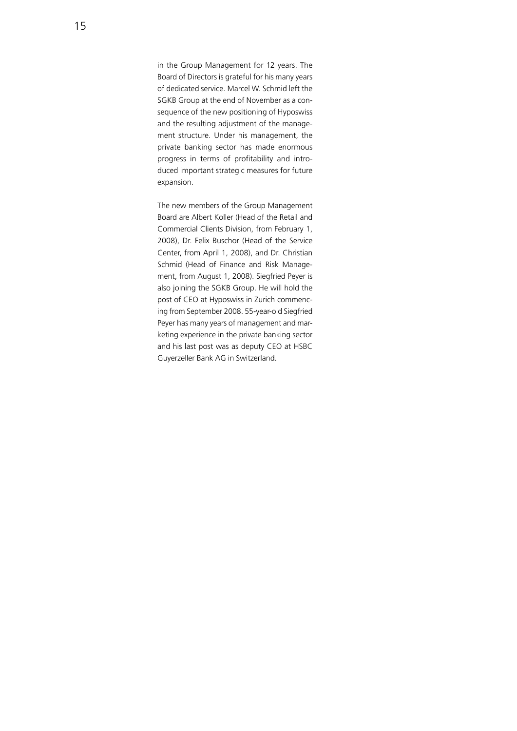in the Group Management for 12 years. The Board of Directors is grateful for his many years of dedicated service. Marcel W. Schmid left the SGKB Group at the end of November as a consequence of the new positioning of Hyposwiss and the resulting adjustment of the management structure. Under his management, the private banking sector has made enormous progress in terms of profitability and introduced important strategic measures for future expansion.

The new members of the Group Management Board are Albert Koller (Head of the Retail and Commercial Clients Division, from February 1, 2008), Dr. Felix Buschor (Head of the Service Center, from April 1, 2008), and Dr. Christian Schmid (Head of Finance and Risk Management, from August 1, 2008). Siegfried Peyer is also joining the SGKB Group. He will hold the post of CEO at Hyposwiss in Zurich commencing from September 2008. 55-year-old Siegfried Peyer has many years of management and marketing experience in the private banking sector and his last post was as deputy CEO at HSBC Guyerzeller Bank AG in Switzerland.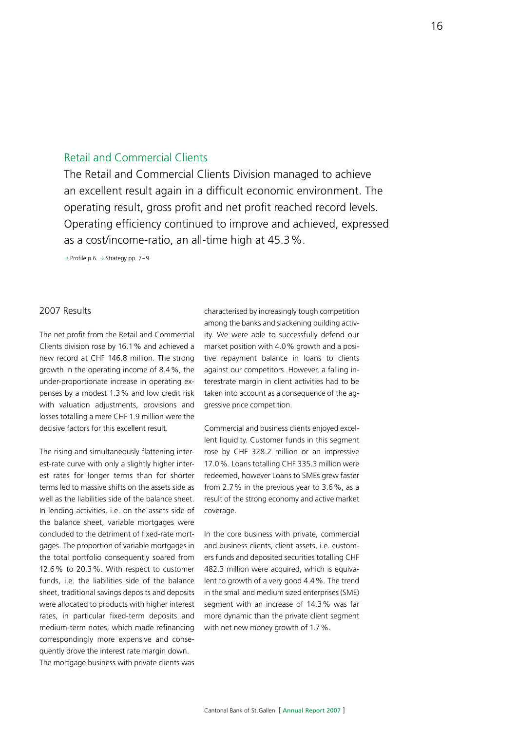# Retail and Commercial Clients

The Retail and Commercial Clients Division managed to achieve an excellent result again in a difficult economic environment. The operating result, gross profit and net profit reached record levels. Operating efficiency continued to improve and achieved, expressed as a cost/income-ratio, an all-time high at 45.3%.

 $\rightarrow$  Profile p.6  $\rightarrow$  Strategy pp. 7–9

# 2007 Results

The net profit from the Retail and Commercial Clients division rose by 16.1% and achieved a new record at CHF 146.8 million. The strong growth in the operating income of 8.4%, the under-proportionate increase in operating expenses by a modest 1.3% and low credit risk with valuation adjustments, provisions and losses totalling a mere CHF 1.9 million were the decisive factors for this excellent result.

The rising and simultaneously flattening interest-rate curve with only a slightly higher interest rates for longer terms than for shorter terms led to massive shifts on the assets side as well as the liabilities side of the balance sheet. In lending activities, i.e. on the assets side of the balance sheet, variable mortgages were concluded to the detriment of fixed-rate mortgages. The proportion of variable mortgages in the total portfolio consequently soared from 12.6% to 20.3%. With respect to customer funds, i.e. the liabilities side of the balance sheet, traditional savings deposits and deposits were allocated to products with higher interest rates, in particular fixed-term deposits and medium-term notes, which made refinancing correspondingly more expensive and consequently drove the interest rate margin down.

The mortgage business with private clients was

characterised by increasingly tough competition among the banks and slackening building activity. We were able to successfully defend our market position with 4.0% growth and a positive repayment balance in loans to clients against our competitors. However, a falling interestrate margin in client activities had to be taken into account as a consequence of the aggressive price competition.

Commercial and business clients enjoyed excellent liquidity. Customer funds in this segment rose by CHF 328.2 million or an impressive 17.0%. Loans totalling CHF 335.3 million were redeemed, however Loans to SMEs grew faster from 2.7% in the previous year to 3.6%, as a result of the strong economy and active market coverage.

In the core business with private, commercial and business clients, client assets, i.e. customers funds and deposited securities totalling CHF 482.3 million were acquired, which is equivalent to growth of a very good 4.4%. The trend in the small and medium sized enterprises (SME) segment with an increase of 14.3% was far more dynamic than the private client segment with net new money growth of 1.7%.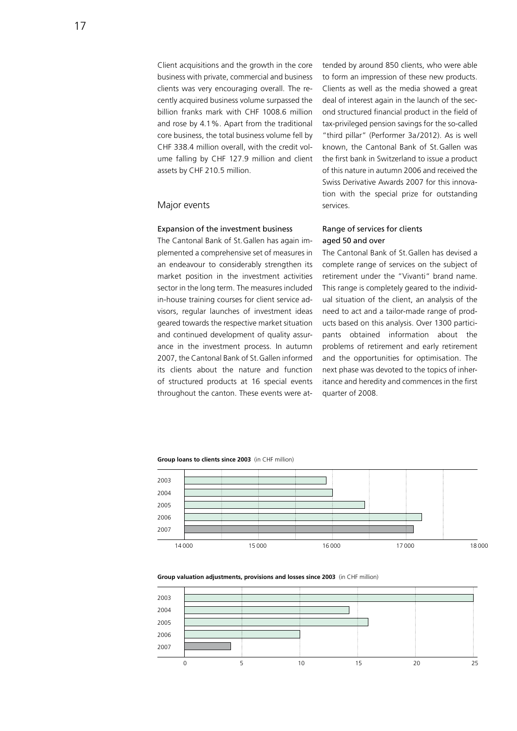Client acquisitions and the growth in the core business with private, commercial and business clients was very encouraging overall. The recently acquired business volume surpassed the billion franks mark with CHF 1008.6 million and rose by 4.1%. Apart from the traditional core business, the total business volume fell by CHF 338.4 million overall, with the credit volume falling by CHF 127.9 million and client assets by CHF 210.5 million.

# Major events

#### Expansion of the investment business

The Cantonal Bank of St.Gallen has again implemented a comprehensive set of measures in an endeavour to considerably strengthen its market position in the investment activities sector in the long term. The measures included in-house training courses for client service advisors, regular launches of investment ideas geared towards the respective market situation and continued development of quality assurance in the investment process. In autumn 2007, the Cantonal Bank of St.Gallen informed its clients about the nature and function of structured products at 16 special events throughout the canton. These events were attended by around 850 clients, who were able to form an impression of these new products. Clients as well as the media showed a great deal of interest again in the launch of the second structured financial product in the field of tax-privileged pension savings for the so-called "third pillar" (Performer 3a/2012). As is well known, the Cantonal Bank of St.Gallen was the first bank in Switzerland to issue a product of this nature in autumn 2006 and received the Swiss Derivative Awards 2007 for this innovation with the special prize for outstanding services.

# Range of services for clients aged 50 and over

The Cantonal Bank of St.Gallen has devised a complete range of services on the subject of retirement under the "Vivanti" brand name. This range is completely geared to the individual situation of the client, an analysis of the need to act and a tailor-made range of products based on this analysis. Over 1300 participants obtained information about the problems of retirement and early retirement and the opportunities for optimisation. The next phase was devoted to the topics of inheritance and heredity and commences in the first quarter of 2008.





#### **Group valuation adjustments, provisions and losses since 2003** (in CHF million)

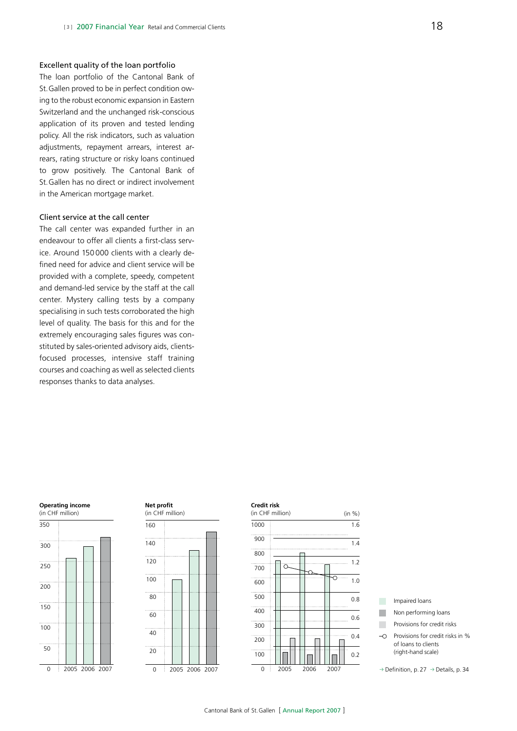#### Excellent quality of the loan portfolio

The loan portfolio of the Cantonal Bank of St.Gallen proved to be in perfect condition owing to the robust economic expansion in Eastern Switzerland and the unchanged risk-conscious application of its proven and tested lending policy. All the risk indicators, such as valuation adjustments, repayment arrears, interest arrears, rating structure or risky loans continued to grow positively. The Cantonal Bank of St.Gallen has no direct or indirect involvement in the American mortgage market.

### Client service at the call center

The call center was expanded further in an endeavour to offer all clients a first-class service. Around 150 000 clients with a clearly defined need for advice and client service will be provided with a complete, speedy, competent and demand-led service by the staff at the call center. Mystery calling tests by a company specialising in such tests corroborated the high level of quality. The basis for this and for the extremely encouraging sales figures was constituted by sales-oriented advisory aids, clientsfocused processes, intensive staff training courses and coaching as well as selected clients responses thanks to data analyses.





#### **Net profit**  (in CHF million)



#### **Credit risk**



#### Impaired loans

F Non performing loans

Provisions for credit risks

 $\overline{\phantom{0}}$ Provisions for credit risks in % of loans to clients (right-hand scale)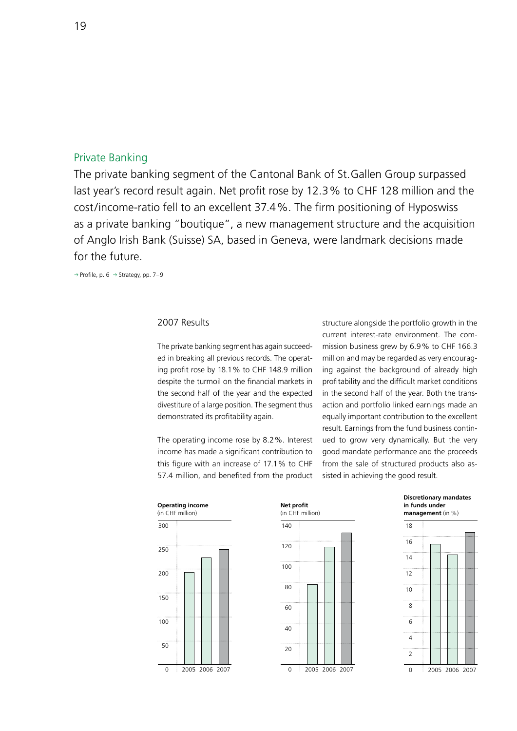# Private Banking

The private banking segment of the Cantonal Bank of St.Gallen Group surpassed last year's record result again. Net profit rose by 12.3% to CHF 128 million and the cost/income-ratio fell to an excellent 37.4%. The firm positioning of Hyposwiss as a private banking "boutique", a new management structure and the acquisition of Anglo Irish Bank (Suisse) SA, based in Geneva, were landmark decisions made for the future.

 $\rightarrow$  Profile, p. 6  $\rightarrow$  Strategy, pp. 7–9

# 2007 Results

The private banking segment has again succeeded in breaking all previous records. The operating profit rose by 18.1% to CHF 148.9 million despite the turmoil on the financial markets in the second half of the year and the expected divestiture of a large position. The segment thus demonstrated its profitability again.

The operating income rose by 8.2%. Interest income has made a significant contribution to this figure with an increase of 17.1% to CHF 57.4 million, and benefited from the product structure alongside the portfolio growth in the current interest-rate environment. The commission business grew by 6.9% to CHF 166.3 million and may be regarded as very encouraging against the background of already high profitability and the difficult market conditions in the second half of the year. Both the transaction and portfolio linked earnings made an equally important contribution to the excellent result. Earnings from the fund business continued to grow very dynamically. But the very good mandate performance and the proceeds from the sale of structured products also assisted in achieving the good result.





**Discretionary mandates in funds under management** (in %) 18

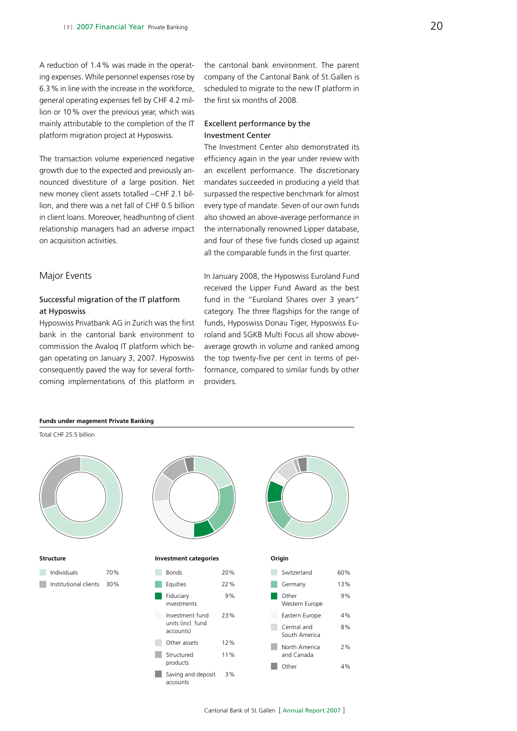A reduction of 1.4% was made in the operating expenses. While personnel expenses rose by 6.3% in line with the increase in the workforce, general operating expenses fell by CHF 4.2 million or 10% over the previous year, which was mainly attributable to the completion of the IT platform migration project at Hyposwiss.

The transaction volume experienced negative growth due to the expected and previously announced divestiture of a large position. Net new money client assets totalled –CHF 2.1 billion, and there was a net fall of CHF 0.5 billion in client loans. Moreover, headhunting of client relationship managers had an adverse impact on acquisition activities.

## Major Events

# Successful migration of the IT platform at Hyposwiss

Hyposwiss Privatbank AG in Zurich was the first bank in the cantonal bank environment to commission the Avaloq IT platform which began operating on January 3, 2007. Hyposwiss consequently paved the way for several forthcoming implementations of this platform in

the cantonal bank environment. The parent company of the Cantonal Bank of St.Gallen is scheduled to migrate to the new IT platform in the first six months of 2008.

## Excellent performance by the Investment Center

The Investment Center also demonstrated its efficiency again in the year under review with an excellent performance. The discretionary mandates succeeded in producing a yield that surpassed the respective benchmark for almost every type of mandate. Seven of our own funds also showed an above-average performance in the internationally renowned Lipper database, and four of these five funds closed up against all the comparable funds in the first quarter.

In January 2008, the Hyposwiss Euroland Fund received the Lipper Fund Award as the best fund in the "Euroland Shares over 3 years" category. The three flagships for the range of funds, Hyposwiss Donau Tiger, Hyposwiss Euroland and SGKB Multi Focus all show aboveaverage growth in volume and ranked among the top twenty-five per cent in terms of performance, compared to similar funds by other providers.

#### **Funds under magement Private Banking**

Total CHF 25.5 billion



products

accounts

Saving and deposit 3%



**Origin**

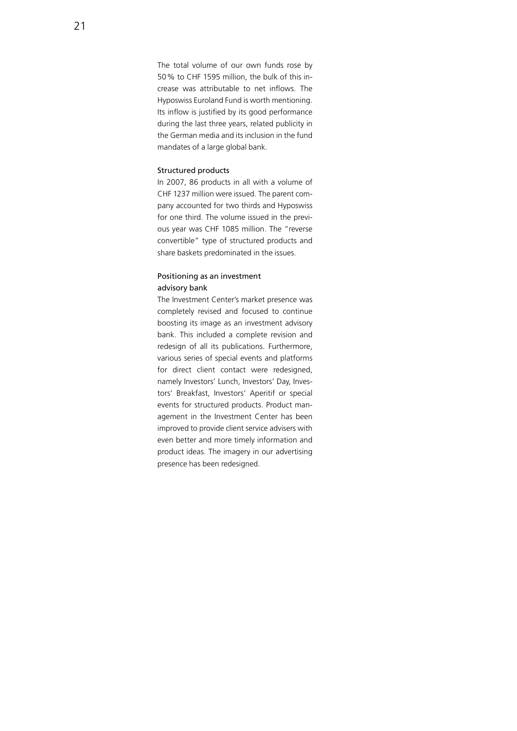The total volume of our own funds rose by 50% to CHF 1595 million, the bulk of this increase was attributable to net inflows. The Hyposwiss Euroland Fund is worth mentioning. Its inflow is justified by its good performance during the last three years, related publicity in the German media and its inclusion in the fund mandates of a large global bank.

#### Structured products

In 2007, 86 products in all with a volume of CHF 1237 million were issued. The parent company accounted for two thirds and Hyposwiss for one third. The volume issued in the previous year was CHF 1085 million. The "reverse convertible" type of structured products and share baskets predominated in the issues.

## Positioning as an investment advisory bank

The Investment Center's market presence was completely revised and focused to continue boosting its image as an investment advisory bank. This included a complete revision and redesign of all its publications. Furthermore, various series of special events and platforms for direct client contact were redesigned, namely Investors' Lunch, Investors' Day, Investors' Breakfast, Investors' Aperitif or special events for structured products. Product management in the Investment Center has been improved to provide client service advisers with even better and more timely information and product ideas. The imagery in our advertising presence has been redesigned.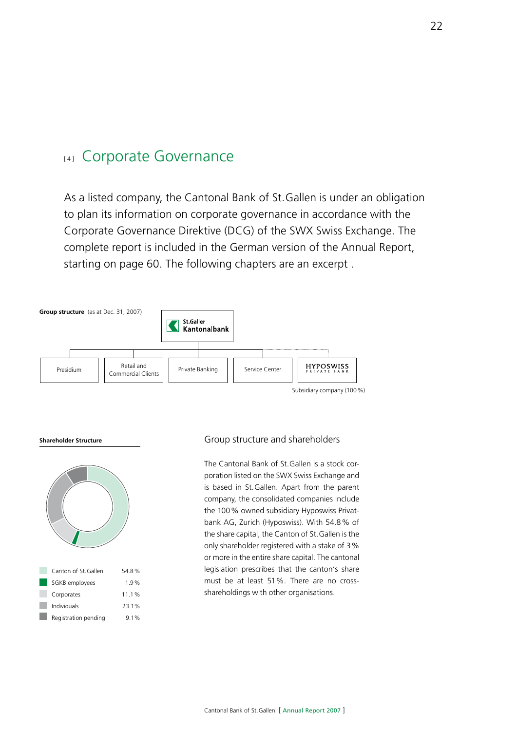# [4] Corporate Governance

As a listed company, the Cantonal Bank of St.Gallen is under an obligation to plan its information on corporate governance in accordance with the Corporate Governance Direktive (DCG) of the SWX Swiss Exchange. The complete report is included in the German version of the Annual Report, starting on page 60. The following chapters are an excerpt .



#### **Shareholder Structure**



## Group structure and shareholders

The Cantonal Bank of St.Gallen is a stock corporation listed on the SWX Swiss Exchange and is based in St.Gallen. Apart from the parent company, the consolidated companies include the 100% owned subsidiary Hyposwiss Privatbank AG, Zurich (Hyposwiss). With 54.8% of the share capital, the Canton of St.Gallen is the only shareholder registered with a stake of 3% or more in the entire share capital. The cantonal legislation prescribes that the canton's share must be at least 51%. There are no crossshareholdings with other organisations.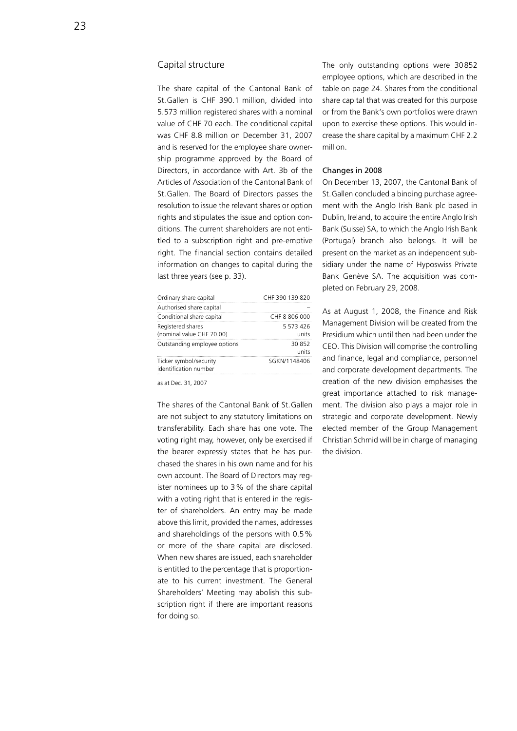## Capital structure

The share capital of the Cantonal Bank of St.Gallen is CHF 390.1 million, divided into 5.573 million registered shares with a nominal value of CHF 70 each. The conditional capital was CHF 8.8 million on December 31, 2007 and is reserved for the employee share ownership programme approved by the Board of Directors, in accordance with Art. 3b of the Articles of Association of the Cantonal Bank of St.Gallen. The Board of Directors passes the resolution to issue the relevant shares or option rights and stipulates the issue and option conditions. The current shareholders are not entitled to a subscription right and pre-emptive right. The financial section contains detailed information on changes to capital during the last three years (see p. 33).

| Ordinary share capital       | CHF 390 139 820 |
|------------------------------|-----------------|
| Authorised share capital     |                 |
| Conditional share capital    | CHF 8 806 000   |
| Registered shares            | 5 573 426       |
| (nominal value CHF 70.00)    | units           |
| Outstanding employee options | 30852           |
|                              | units           |
| Ticker symbol/security       | SGKN/1148406    |
| identification number        |                 |

as at Dec. 31, 2007

The shares of the Cantonal Bank of St.Gallen are not subject to any statutory limitations on transferability. Each share has one vote. The voting right may, however, only be exercised if the bearer expressly states that he has purchased the shares in his own name and for his own account. The Board of Directors may register nominees up to 3% of the share capital with a voting right that is entered in the register of shareholders. An entry may be made above this limit, provided the names, addresses and shareholdings of the persons with 0.5% or more of the share capital are disclosed. When new shares are issued, each shareholder is entitled to the percentage that is proportionate to his current investment. The General Shareholders' Meeting may abolish this subscription right if there are important reasons for doing so.

The only outstanding options were 30852 employee options, which are described in the table on page 24. Shares from the conditional share capital that was created for this purpose or from the Bank's own portfolios were drawn upon to exercise these options. This would increase the share capital by a maximum CHF 2.2 million.

#### Changes in 2008

On December 13, 2007, the Cantonal Bank of St.Gallen concluded a binding purchase agreement with the Anglo Irish Bank plc based in Dublin, Ireland, to acquire the entire Anglo Irish Bank (Suisse) SA, to which the Anglo Irish Bank (Portugal) branch also belongs. It will be present on the market as an independent subsidiary under the name of Hyposwiss Private Bank Genève SA. The acquisition was completed on February 29, 2008.

As at August 1, 2008, the Finance and Risk Management Division will be created from the Presidium which until then had been under the CEO. This Division will comprise the controlling and finance, legal and compliance, personnel and corporate development departments. The creation of the new division emphasises the great importance attached to risk management. The division also plays a major role in strategic and corporate development. Newly elected member of the Group Management Christian Schmid will be in charge of managing the division.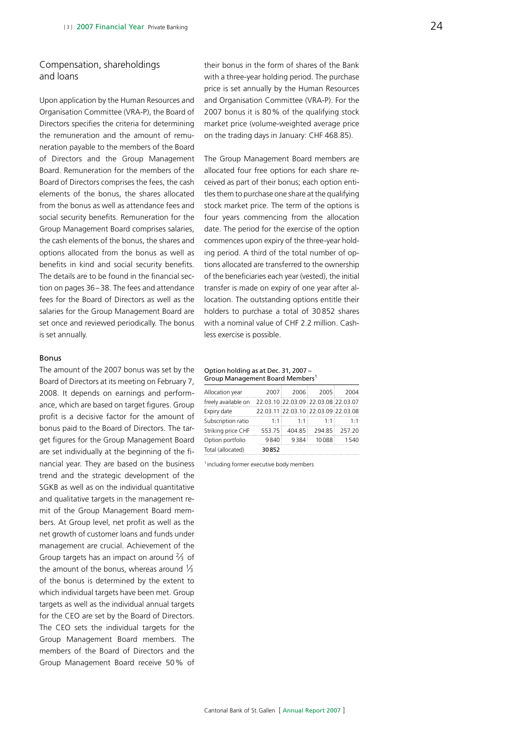# Compensation, shareholdings and loans

Upon application by the Human Resources and Organisation Committee (VRA-P), the Board of Directors specifies the criteria for determining the remuneration and the amount of remuneration payable to the members of the Board of Directors and the Group Management Board. Remuneration for the members of the Board of Directors comprises the fees, the cash elements of the bonus, the shares allocated from the bonus as well as attendance fees and social security benefits. Remuneration for the Group Management Board comprises salaries, the cash elements of the bonus, the shares and options allocated from the bonus as well as benefits in kind and social security benefits. The details are to be found in the financial section on pages 36–38. The fees and attendance fees for the Board of Directors as well as the salaries for the Group Management Board are set once and reviewed periodically. The bonus is set annually.

#### Bonus

The amount of the 2007 bonus was set by the Board of Directors at its meeting on February 7, 2008. It depends on earnings and performance, which are based on target figures. Group profit is a decisive factor for the amount of bonus paid to the Board of Directors. The target figures for the Group Management Board are set individually at the beginning of the financial year. They are based on the business trend and the strategic development of the SGKB as well as on the individual quantitative and qualitative targets in the management remit of the Group Management Board members. At Group level, net profit as well as the net growth of customer loans and funds under management are crucial. Achievement of the Group targets has an impact on around  $\frac{2}{3}$  of the amount of the bonus, whereas around  $\frac{1}{3}$ of the bonus is determined by the extent to which individual targets have been met. Group targets as well as the individual annual targets for the CEO are set by the Board of Directors. The CEO sets the individual targets for the Group Management Board members. The members of the Board of Directors and the Group Management Board receive 50% of

their bonus in the form of shares of the Bank with a three-year holding period. The purchase price is set annually by the Human Resources and Organisation Committee (VRA-P). For the 2007 bonus it is 80% of the qualifying stock market price (volume-weighted average price on the trading days in January: CHF 468.85).

The Group Management Board members are allocated four free options for each share received as part of their bonus; each option entitles them to purchase one share at the qualifying stock market price. The term of the options is four years commencing from the allocation date. The period for the exercise of the option commences upon expiry of the three-year holding period. A third of the total number of options allocated are transferred to the ownership of the beneficiaries each year (vested), the initial transfer is made on expiry of one year after allocation. The outstanding options entitle their holders to purchase a total of 30 852 shares with a nominal value of CHF 2.2 million. Cashless exercise is possible.

#### Option holding as at Dec. 31, 2007 – Group Management Board Members1

| Allocation year     | 2007     | 2006                                | 2005   | 2004   |
|---------------------|----------|-------------------------------------|--------|--------|
| freely available on |          | 22.03.10 22.03.09 22.03.08 22.03.07 |        |        |
| Expiry date         |          | 22.03.11 22.03.10 22.03.09 22.03.08 |        |        |
| Subscription ratio  | 1:1<br>3 | 1:1                                 | 1:1    | 1:1    |
| Striking price CHF  | 553.75   | 404.85                              | 294.85 | 257.20 |
| Option portfolio    | 9840     | 9384                                | 10088  | 1540   |
| Total (allocated)   | 30852    |                                     |        |        |

<sup>1</sup> including former executive body members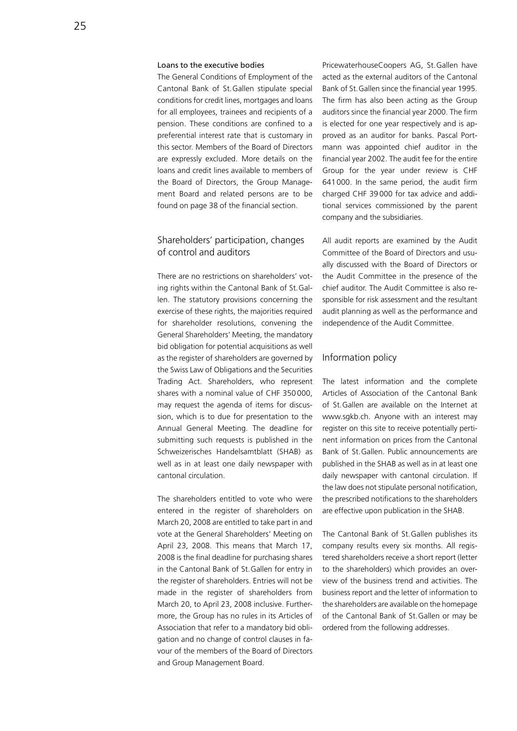#### Loans to the executive bodies

The General Conditions of Employment of the Cantonal Bank of St.Gallen stipulate special conditions for credit lines, mortgages and loans for all employees, trainees and recipients of a pension. These conditions are confined to a preferential interest rate that is customary in this sector. Members of the Board of Directors are expressly excluded. More details on the loans and credit lines available to members of the Board of Directors, the Group Management Board and related persons are to be found on page 38 of the financial section.

# Shareholders' participation, changes of control and auditors

There are no restrictions on shareholders' voting rights within the Cantonal Bank of St.Gallen. The statutory provisions concerning the exercise of these rights, the majorities required for shareholder resolutions, convening the General Shareholders' Meeting, the mandatory bid obligation for potential acquisitions as well as the register of shareholders are governed by the Swiss Law of Obligations and the Securities Trading Act. Shareholders, who represent shares with a nominal value of CHF 350 000, may request the agenda of items for discussion, which is to due for presentation to the Annual General Meeting. The deadline for submitting such requests is published in the Schweizerisches Handelsamtblatt (SHAB) as well as in at least one daily newspaper with cantonal circulation.

The shareholders entitled to vote who were entered in the register of shareholders on March 20, 2008 are entitled to take part in and vote at the General Shareholders' Meeting on April 23, 2008. This means that March 17, 2008 is the final deadline for purchasing shares in the Cantonal Bank of St.Gallen for entry in the register of shareholders. Entries will not be made in the register of shareholders from March 20, to April 23, 2008 inclusive. Furthermore, the Group has no rules in its Articles of Association that refer to a mandatory bid obligation and no change of control clauses in favour of the members of the Board of Directors and Group Management Board.

PricewaterhouseCoopers AG, St.Gallen have acted as the external auditors of the Cantonal Bank of St.Gallen since the financial year 1995. The firm has also been acting as the Group auditors since the financial year 2000. The firm is elected for one year respectively and is approved as an auditor for banks. Pascal Portmann was appointed chief auditor in the financial year 2002. The audit fee for the entire Group for the year under review is CHF 641000. In the same period, the audit firm charged CHF 39 000 for tax advice and additional services commissioned by the parent company and the subsidiaries.

All audit reports are examined by the Audit Committee of the Board of Directors and usually discussed with the Board of Directors or the Audit Committee in the presence of the chief auditor. The Audit Committee is also responsible for risk assessment and the resultant audit planning as well as the performance and independence of the Audit Committee.

## Information policy

The latest information and the complete Articles of Association of the Cantonal Bank of St.Gallen are available on the Internet at www.sgkb.ch. Anyone with an interest may register on this site to receive potentially pertinent information on prices from the Cantonal Bank of St.Gallen. Public announcements are published in the SHAB as well as in at least one daily newspaper with cantonal circulation. If the law does not stipulate personal notification, the prescribed notifications to the shareholders are effective upon publication in the SHAB.

The Cantonal Bank of St.Gallen publishes its company results every six months. All registered shareholders receive a short report (letter to the shareholders) which provides an overview of the business trend and activities. The business report and the letter of information to the shareholders are available on the homepage of the Cantonal Bank of St.Gallen or may be ordered from the following addresses.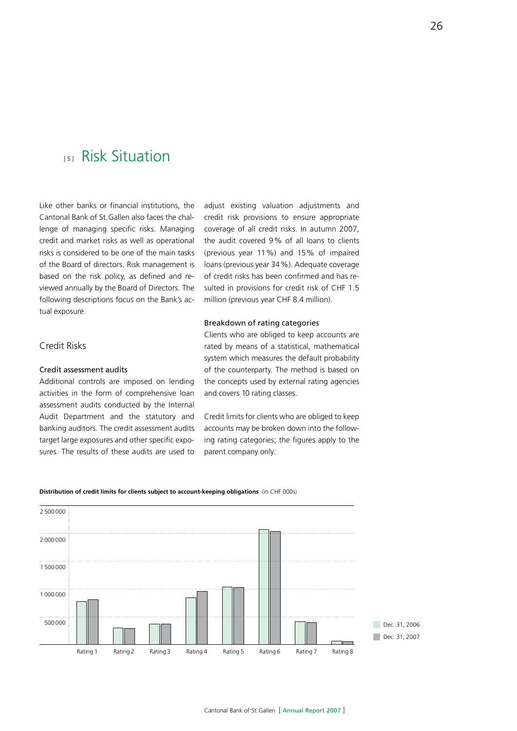# $\overline{\phantom{a}}$  Risk Situation

Like other banks or financial institutions, the Cantonal Bank of St.Gallen also faces the challenge of managing specific risks. Managing credit and market risks as well as operational risks is considered to be one of the main tasks of the Board of directors. Risk management is based on the risk policy, as defined and reviewed annually by the Board of Directors. The following descriptions focus on the Bank's actual exposure.

## Credit Risks

## Credit assessment audits

Additional controls are imposed on lending activities in the form of comprehensive loan assessment audits conducted by the Internal Audit Department and the statutory and banking auditors. The credit assessment audits target large exposures and other specific exposures. The results of these audits are used to adjust existing valuation adjustments and credit risk provisions to ensure appropriate coverage of all credit risks. In autumn 2007, the audit covered 9% of all loans to clients (previous year 11%) and 15% of impaired loans (previous year 34%). Adequate coverage of credit risks has been confirmed and has resulted in provisions for credit risk of CHF 1.5 million (previous year CHF 8.4 million).

#### Breakdown of rating categories

Clients who are obliged to keep accounts are rated by means of a statistical, mathematical system which measures the default probability of the counterparty. The method is based on the concepts used by external rating agencies and covers 10 rating classes.

Credit limits for clients who are obliged to keep accounts may be broken down into the following rating categories; the figures apply to the parent company only:



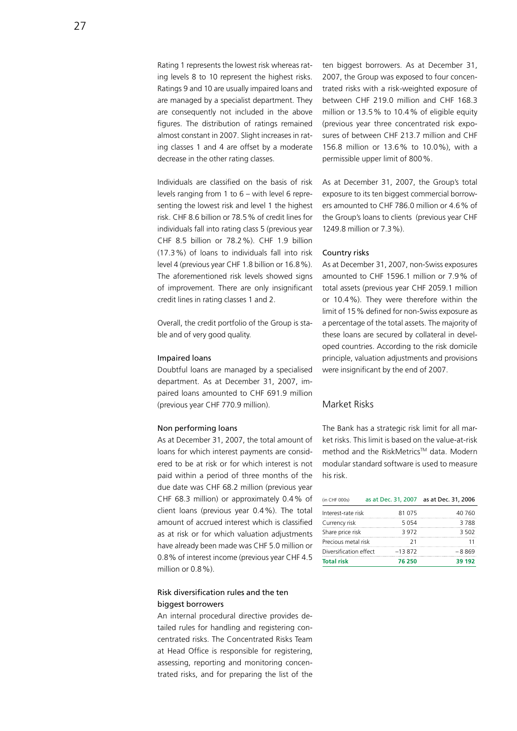Rating 1 represents the lowest risk whereas rating levels 8 to 10 represent the highest risks. Ratings 9 and 10 are usually impaired loans and are managed by a specialist department. They are consequently not included in the above figures. The distribution of ratings remained almost constant in 2007. Slight increases in rating classes 1 and 4 are offset by a moderate decrease in the other rating classes.

Individuals are classified on the basis of risk levels ranging from 1 to 6 – with level 6 representing the lowest risk and level 1 the highest risk. CHF 8.6 billion or 78.5% of credit lines for individuals fall into rating class 5 (previous year CHF 8.5 billion or 78.2%). CHF 1.9 billion (17.3%) of loans to individuals fall into risk level 4 (previous year CHF 1.8 billion or 16.8%). The aforementioned risk levels showed signs of improvement. There are only insignificant credit lines in rating classes 1 and 2.

Overall, the credit portfolio of the Group is stable and of very good quality.

#### Impaired loans

Doubtful loans are managed by a specialised department. As at December 31, 2007, impaired loans amounted to CHF 691.9 million (previous year CHF 770.9 million).

#### Non performing loans

As at December 31, 2007, the total amount of loans for which interest payments are considered to be at risk or for which interest is not paid within a period of three months of the due date was CHF 68.2 million (previous year CHF 68.3 million) or approximately 0.4% of client loans (previous year 0.4%). The total amount of accrued interest which is classified as at risk or for which valuation adjustments have already been made was CHF 5.0 million or 0.8% of interest income (previous year CHF 4.5 million or 0.8%).

# Risk diversification rules and the ten biggest borrowers

An internal procedural directive provides detailed rules for handling and registering concentrated risks. The Concentrated Risks Team at Head Office is responsible for registering, assessing, reporting and monitoring concentrated risks, and for preparing the list of the ten biggest borrowers. As at December 31, 2007, the Group was exposed to four concentrated risks with a risk-weighted exposure of between CHF 219.0 million and CHF 168.3 million or 13.5% to 10.4% of eligible equity (previous year three concentrated risk exposures of between CHF 213.7 million and CHF 156.8 million or 13.6% to 10.0%), with a permissible upper limit of 800%.

As at December 31, 2007, the Group's total exposure to its ten biggest commercial borrowers amounted to CHF 786.0 million or 4.6% of the Group's loans to clients (previous year CHF 1249.8 million or 7.3%).

#### Country risks

As at December 31, 2007, non-Swiss exposures amounted to CHF 1596.1 million or 7.9% of total assets (previous year CHF 2059.1 million or 10.4%). They were therefore within the limit of 15% defined for non-Swiss exposure as a percentage of the total assets. The majority of these loans are secured by collateral in developed countries. According to the risk domicile principle, valuation adjustments and provisions were insignificant by the end of 2007.

#### Market Risks

The Bank has a strategic risk limit for all market risks. This limit is based on the value-at-risk method and the RiskMetrics™ data. Modern modular standard software is used to measure his risk.

| (in CHF 000s)          |          | as at Dec. 31, 2007 as at Dec. 31, 2006 |
|------------------------|----------|-----------------------------------------|
| Interest-rate risk     | 81 075   | 40 760                                  |
| Currency risk          | 5054     | 3788                                    |
| Share price risk       | 3972     | 3502                                    |
| Precious metal risk    | 21       | 11                                      |
| Diversification effect | $-13872$ | $-8.869$                                |
| <b>Total risk</b>      | 76 250   | 39 192                                  |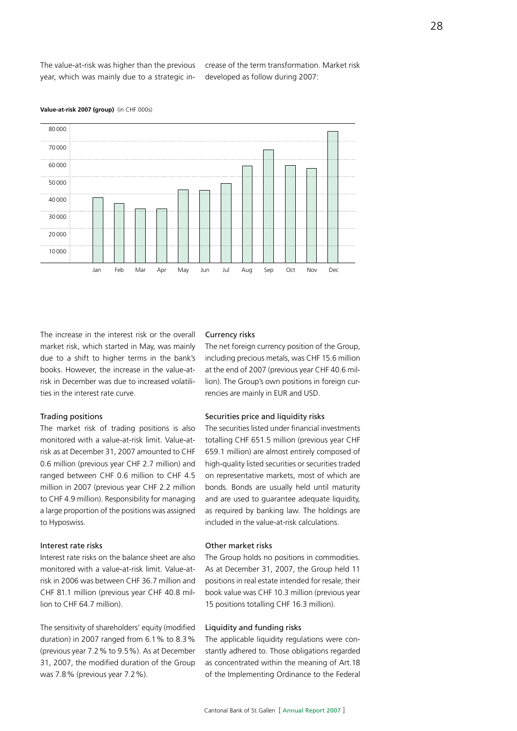The value-at-risk was higher than the previous year, which was mainly due to a strategic in-

crease of the term transformation. Market risk developed as follow during 2007:



**Value-at-risk 2007 (group)** (in CHF 000s)

The increase in the interest risk or the overall market risk, which started in May, was mainly due to a shift to higher terms in the bank's books. However, the increase in the value-atrisk in December was due to increased volatilities in the interest rate curve.

#### Trading positions

The market risk of trading positions is also monitored with a value-at-risk limit. Value-atrisk as at December 31, 2007 amounted to CHF 0.6 million (previous year CHF 2.7 million) and ranged between CHF 0.6 million to CHF 4.5 million in 2007 (previous year CHF 2.2 million to CHF 4.9 million). Responsibility for managing a large proportion of the positions was assigned to Hyposwiss.

## Interest rate risks

Interest rate risks on the balance sheet are also monitored with a value-at-risk limit. Value-atrisk in 2006 was between CHF 36.7 million and CHF 81.1 million (previous year CHF 40.8 million to CHF 64.7 million).

The sensitivity of shareholders' equity (modified duration) in 2007 ranged from 6.1% to 8.3% (previous year 7.2% to 9.5%). As at December 31, 2007, the modified duration of the Group was 7.8% (previous year 7.2%).

#### Currency risks

The net foreign currency position of the Group, including precious metals, was CHF 15.6 million at the end of 2007 (previous year CHF 40.6 million). The Group's own positions in foreign currencies are mainly in EUR and USD.

#### Securities price and liquidity risks

The securities listed under financial investments totalling CHF 651.5 million (previous year CHF 659.1 million) are almost entirely composed of high-quality listed securities or securities traded on representative markets, most of which are bonds. Bonds are usually held until maturity and are used to guarantee adequate liquidity, as required by banking law. The holdings are included in the value-at-risk calculations.

#### Other market risks

The Group holds no positions in commodities. As at December 31, 2007, the Group held 11 positions in real estate intended for resale; their book value was CHF 10.3 million (previous year 15 positions totalling CHF 16.3 million).

#### Liquidity and funding risks

The applicable liquidity regulations were constantly adhered to. Those obligations regarded as concentrated within the meaning of Art.18 of the Implementing Ordinance to the Federal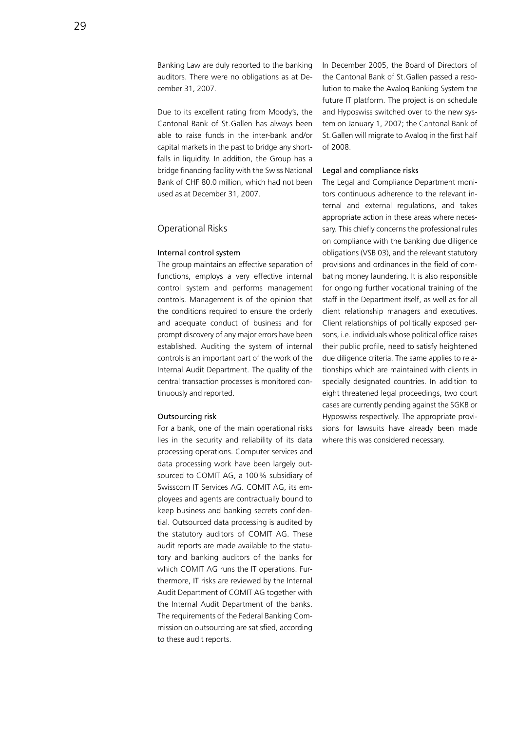Banking Law are duly reported to the banking auditors. There were no obligations as at December 31, 2007.

Due to its excellent rating from Moody's, the Cantonal Bank of St.Gallen has always been able to raise funds in the inter-bank and/or capital markets in the past to bridge any shortfalls in liquidity. In addition, the Group has a bridge financing facility with the Swiss National Bank of CHF 80.0 million, which had not been used as at December 31, 2007.

## Operational Risks

#### Internal control system

The group maintains an effective separation of functions, employs a very effective internal control system and performs management controls. Management is of the opinion that the conditions required to ensure the orderly and adequate conduct of business and for prompt discovery of any major errors have been established. Auditing the system of internal controls is an important part of the work of the Internal Audit Department. The quality of the central transaction processes is monitored continuously and reported.

#### Outsourcing risk

For a bank, one of the main operational risks lies in the security and reliability of its data processing operations. Computer services and data processing work have been largely outsourced to COMIT AG, a 100% subsidiary of Swisscom IT Services AG. COMIT AG, its employees and agents are contractually bound to keep business and banking secrets confidential. Outsourced data processing is audited by the statutory auditors of COMIT AG. These audit reports are made available to the statutory and banking auditors of the banks for which COMIT AG runs the IT operations. Furthermore, IT risks are reviewed by the Internal Audit Department of COMIT AG together with the Internal Audit Department of the banks. The requirements of the Federal Banking Commission on outsourcing are satisfied, according to these audit reports.

In December 2005, the Board of Directors of the Cantonal Bank of St.Gallen passed a resolution to make the Avaloq Banking System the future IT platform. The project is on schedule and Hyposwiss switched over to the new system on January 1, 2007; the Cantonal Bank of St.Gallen will migrate to Avaloq in the first half of 2008.

#### Legal and compliance risks

The Legal and Compliance Department monitors continuous adherence to the relevant internal and external regulations, and takes appropriate action in these areas where necessary. This chiefly concerns the professional rules on compliance with the banking due diligence obligations (VSB 03), and the relevant statutory provisions and ordinances in the field of combating money laundering. It is also responsible for ongoing further vocational training of the staff in the Department itself, as well as for all client relationship managers and executives. Client relationships of politically exposed persons, i.e. individuals whose political office raises their public profile, need to satisfy heightened due diligence criteria. The same applies to relationships which are maintained with clients in specially designated countries. In addition to eight threatened legal proceedings, two court cases are currently pending against the SGKB or Hyposwiss respectively. The appropriate provisions for lawsuits have already been made where this was considered necessary.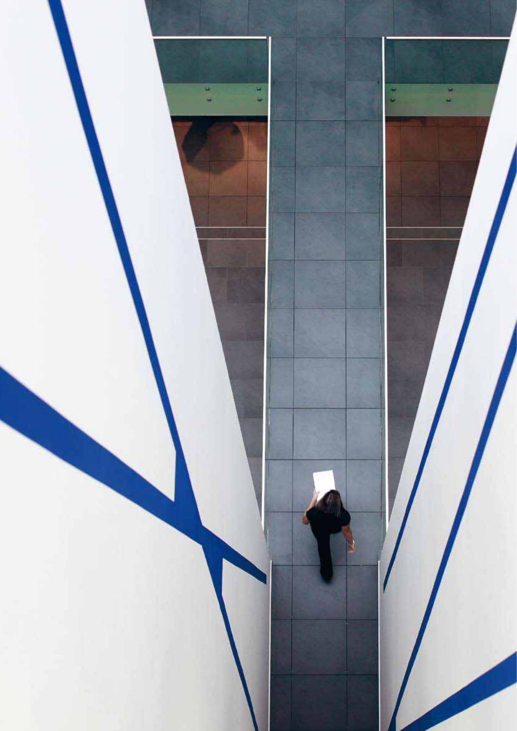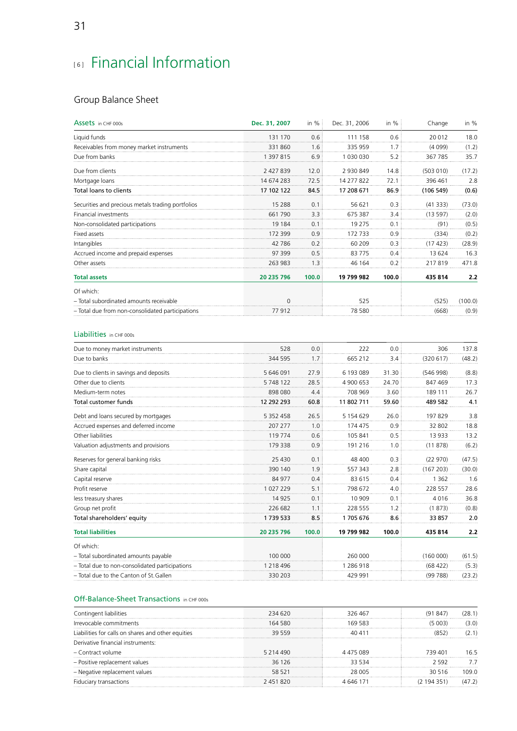# [ 6 ] Financial Information

# Group Balance Sheet

| Assets in CHF 000s                                | Dec. 31, 2007 | in $%$ | Dec. 31, 2006 | in %  | Change    | in %    |
|---------------------------------------------------|---------------|--------|---------------|-------|-----------|---------|
| Liquid funds                                      | 131 170       | 0.6    | 111 158       | 0.6   | 20 012    | 18.0    |
| Receivables from money market instruments         | 331 860       | 1.6    | 335 959       | 1.7   | (4099)    | (1.2)   |
| Due from banks                                    | 1 397 815     | 6.9    | 1 030 030     | 5.2   | 367 785   | 35.7    |
| Due from clients                                  | 2 427 839     | 12.0   | 2 930 849     | 14.8  | (503 010) | (17.2)  |
| Mortgage loans                                    | 14 674 283    | 72.5   | 14 277 822    | 72.1  | 396 461   | 2.8     |
| Total loans to clients                            | 17 102 122    | 84.5   | 17 208 671    | 86.9  | (106549)  | (0.6)   |
| Securities and precious metals trading portfolios | 15 2 8 8      | 0.1    | 56 621        | 0.3   | (41333)   | (73.0)  |
| <b>Financial investments</b>                      | 661790        | 3.3    | 675 387       | 3.4   | (13597)   | (2.0)   |
| Non-consolidated participations                   | 19 184        | 0.1    | 19 275        | 0.1   | (91)      | (0.5)   |
| Fixed assets                                      | 172 399       | 0.9    | 172 733       | 0.9   | (334)     | (0.2)   |
| Intangibles                                       | 42 786        | 0.2    | 60 209        | 0.3   | (17423)   | (28.9)  |
| Accrued income and prepaid expenses               | 97 399        | 0.5    | 83775         | 0.4   | 13 624    | 16.3    |
| Other assets                                      | 263 983       | 1.3    | 46 164        | 0.2   | 217819    | 471.8   |
| <b>Total assets</b>                               | 20 235 796    | 100.0  | 19 799 982    | 100.0 | 435 814   | 2.2     |
| Of which:                                         |               |        |               |       |           |         |
| - Total subordinated amounts receivable           | $\mathbf 0$   |        | 525           |       | (525)     | (100.0) |
| - Total due from non-consolidated participations  | 77912         |        | 78 580        |       | (668)     | (0.9)   |
|                                                   |               |        |               |       |           |         |
| Liabilities in CHF 000s                           |               |        |               |       |           |         |
| Due to money market instruments                   | 528           | 0.0    | 222           | 0.0   | 306       | 137.8   |
| Due to banks                                      | 344 595       | 1.7    | 665 212       | 3.4   | (320617)  | (48.2)  |
| Due to clients in savings and deposits            | 5 646 091     | 27.9   | 6 193 089     | 31.30 | (546998)  | (8.8)   |
| Other due to clients                              | 5748122       | 28.5   | 4 900 653     | 24.70 | 847 469   | 17.3    |
| Medium-term notes                                 | 898 080       | 4.4    | 708 969       | 3.60  | 189 111   | 26.7    |
| Total customer funds                              | 12 292 293    | 60.8   | 11 802 711    | 59.60 | 489 582   | 4.1     |
| Debt and loans secured by mortgages               | 5 3 5 2 4 5 8 | 26.5   | 5 154 629     | 26.0  | 197829    | 3.8     |
| Accrued expenses and deferred income              | 207 277       | 1.0    | 174 475       | 0.9   | 32 802    | 18.8    |
| Other liabilities                                 | 119 774       | 0.6    | 105 841       | 0.5   | 13 9 33   | 13.2    |
| Valuation adjustments and provisions              | 179 338       | 0.9    | 191 216       | 1.0   | (11878)   | (6.2)   |
| Reserves for general banking risks                | 25 4 30       | 0.1    | 48 400        | 0.3   | (22970)   | (47.5)  |
| Share capital                                     | 390 140       | 1.9    | 557 343       | 2.8   | (167 203) | (30.0)  |
| Capital reserve                                   | 84 977        | 0.4    | 83 615        | 0.4   | 1 3 6 2   | 1.6     |
| Profit reserve                                    | 1027229       | 5.1    | 798 672       | 4.0   | 228 557   | 28.6    |
| less treasury shares                              | 14 9 25       | 0.1    | 10 909        | 0.1   | 4016      | 36.8    |
| Group net profit                                  | 226 682       | 1.1    | 228 555       | $1.2$ | (1873)    | (0.8)   |
| Total shareholders' equity                        | 1739533       | 8.5    | 1705 676      | 8.6   | 33 857    | 2.0     |
| <b>Total liabilities</b>                          | 20 235 796    | 100.0  | 19 799 982    | 100.0 | 435 814   | 2.2     |
| Of which:                                         |               |        |               |       |           |         |
| - Total subordinated amounts payable              | 100 000       |        | 260 000       |       | (160000)  | (61.5)  |
| - Total due to non-consolidated participations    | 1 2 1 8 4 9 6 |        | 1 286 918     |       | (68422)   | (5.3)   |
| - Total due to the Canton of St. Gallen           | 330 203       |        | 429 991       |       | (99788)   | (23.2)  |

# Off-Balance-Sheet Transactions in CHF 000s

| Contingent liabilities                                | 234.620       | 326467    | -847    |       |
|-------------------------------------------------------|---------------|-----------|---------|-------|
| Irrevocable commitments                               | 164 580       | 169 583   | 003     | (3.0) |
| lities for calls on shares and other equities<br>labi | 39559         | 40411     |         |       |
| Derivative financial instruments:                     |               |           |         |       |
| $-$ Contract volume                                   | 5 2 1 4 4 9 0 | 4 475 089 | 739 401 |       |
| - Positive replacement values                         | 36 126        | 33.534    | , 592   |       |
| iative replacement values                             | 58 521        | 28.005    | 30 516  | ng r  |
| transactions <sup>,</sup><br><b>Fiduciary</b>         | 2451820       | 4 646 171 |         |       |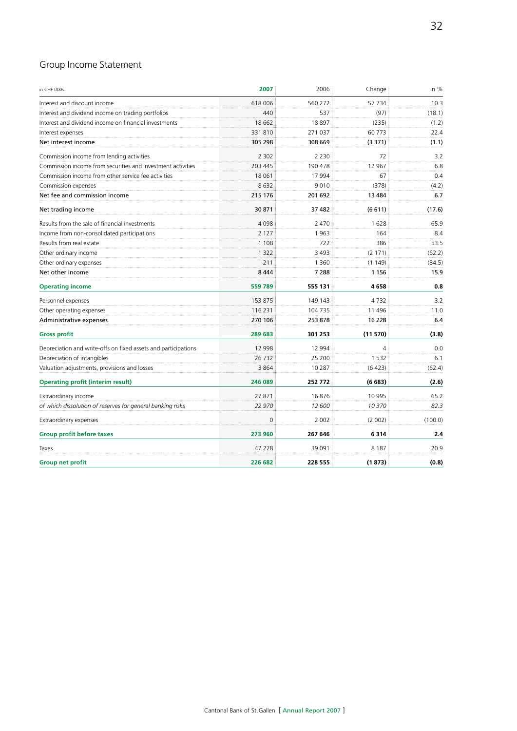# Group Income Statement

| in CHF 000s                                                    | 2007     | 2006    | Change         | in $%$  |
|----------------------------------------------------------------|----------|---------|----------------|---------|
| Interest and discount income                                   | 618 006  | 560 272 | 57 734         | 10.3    |
| Interest and dividend income on trading portfolios             | 440      | 537     | (97)           | (18.1)  |
| Interest and dividend income on financial investments          | 18 6 62  | 18897   | (235)          | (1.2)   |
| Interest expenses                                              | 331810   | 271 037 | 60773          | 22.4    |
| Net interest income                                            | 305 298  | 308 669 | (3371)         | (1.1)   |
| Commission income from lending activities                      | 2 3 0 2  | 2 2 3 0 | 72             | 3.2     |
| Commission income from securities and investment activities    | 203 445  | 190 478 | 12 967         | 6.8     |
| Commission income from other service fee activities            | 18 061   | 17 994  | 67             | 0.4     |
| Commission expenses                                            | 8632     | 9010    | (378)          | (4.2)   |
| Net fee and commission income                                  | 215 176  | 201 692 | 13 4 84        | 6.7     |
| Net trading income                                             | 30 871   | 37 482  | (6611)         | (17.6)  |
| Results from the sale of financial investments                 | 4098     | 2 4 7 0 | 1628           | 65.9    |
| Income from non-consolidated participations                    | 2 1 2 7  | 1963    | 164            | 8.4     |
| Results from real estate                                       | 1 1 0 8  | 722     | 386            | 53.5    |
| Other ordinary income                                          | 1 3 2 2  | 3 4 9 3 | (2171)         | (62.2)  |
| Other ordinary expenses                                        | 211      | 1 3 6 0 | (1149)         | (84.5)  |
| Net other income                                               | 8444     | 7 2 8 8 | 1 1 5 6        | 15.9    |
| <b>Operating income</b>                                        | 559 789  | 555 131 | 4658           | 0.8     |
| Personnel expenses                                             | 153 875  | 149 143 | 4732           | 3.2     |
| Other operating expenses                                       | 116 231  | 104 735 | 11 4 9 6       | 11.0    |
| Administrative expenses                                        | 270 106  | 253 878 | 16 228         | 6.4     |
| <b>Gross profit</b>                                            | 289 683  | 301 253 | (11570)        | (3.8)   |
| Depreciation and write-offs on fixed assets and participations | 12 9 98  | 12 9 94 | $\overline{4}$ | 0.0     |
| Depreciation of intangibles                                    | 26732    | 25 200  | 1532           | 6.1     |
| Valuation adjustments, provisions and losses                   | 3864     | 10 287  | (6423)         | (62.4)  |
| <b>Operating profit (interim result)</b>                       | 246 089  | 252772  | (6683)         | (2.6)   |
| Extraordinary income                                           | 27871    | 16876   | 10 995         | 65.2    |
| of which dissolution of reserves for general banking risks     | 22 970   | 12 600  | 10370          | 82.3    |
| Extraordinary expenses                                         | $\Omega$ | 2 0 0 2 | (2002)         | (100.0) |
| <b>Group profit before taxes</b>                               | 273 960  | 267 646 | 6314           | 2.4     |
| Taxes                                                          | 47 278   | 39 091  | 8 1 8 7        | 20.9    |
| <b>Group net profit</b>                                        | 226 682  | 228 555 | (1873)         | (0.8)   |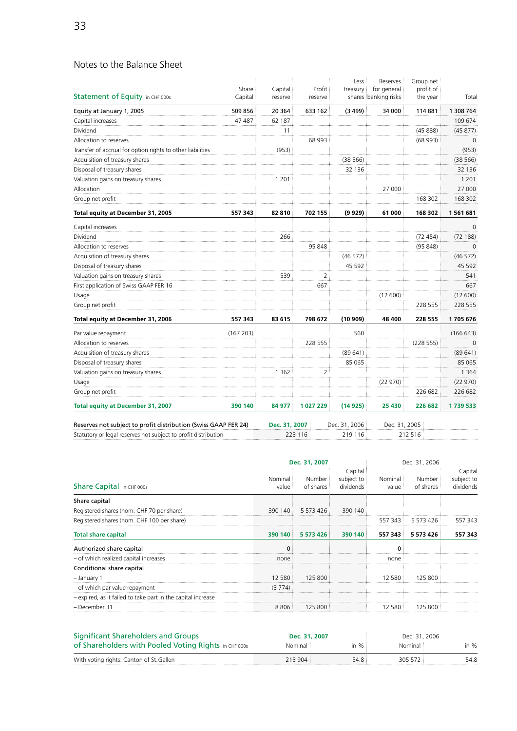# Notes to the Balance Sheet

| Statement of Equity in CHF 000s                            | Share<br>Capital | Capital<br>reserve | Profit<br>reserve | Less<br>treasury | Reserves<br>for general<br>shares banking risks | Group net<br>profit of<br>the year | Total     |
|------------------------------------------------------------|------------------|--------------------|-------------------|------------------|-------------------------------------------------|------------------------------------|-----------|
| Equity at January 1, 2005                                  | 509856           | 20 364             | 633 162           | (3499)           | 34 000                                          | 114881                             | 1 308 764 |
| Capital increases                                          | 47 487           | 62 187             |                   |                  |                                                 |                                    | 109 674   |
| Dividend                                                   |                  | 11                 |                   |                  |                                                 | (45888)                            | (45877)   |
| Allocation to reserves                                     |                  |                    | 68 993            |                  |                                                 | (68993)                            | 0         |
| Transfer of accrual for option rights to other liabilities |                  | (953)              |                   |                  |                                                 |                                    | (953)     |
| Acquisition of treasury shares                             |                  |                    |                   | (38566)          |                                                 |                                    | (38566)   |
| Disposal of treasury shares                                |                  |                    |                   | 32 136           |                                                 |                                    | 32 136    |
| Valuation gains on treasury shares                         |                  | 1 2 0 1            |                   |                  |                                                 |                                    | 1 2 0 1   |
| Allocation                                                 |                  |                    |                   |                  | 27 000                                          |                                    | 27 000    |
| Group net profit                                           |                  |                    |                   |                  |                                                 | 168 302                            | 168 302   |
| Total equity at December 31, 2005                          | 557 343          | 82810              | 702 155           | (9929)           | 61 000                                          | 168 302                            | 1561681   |
| Capital increases                                          |                  |                    |                   |                  |                                                 |                                    | $\Omega$  |
| Dividend                                                   |                  | 266                |                   |                  |                                                 | (72454)                            | (72188)   |
| Allocation to reserves                                     |                  |                    | 95 848            |                  |                                                 | (95848)                            | $\Omega$  |
| Acquisition of treasury shares                             |                  |                    |                   | (46572)          |                                                 |                                    | (46572)   |
| Disposal of treasury shares                                |                  |                    |                   | 45 5 92          |                                                 |                                    | 45 5 92   |
| Valuation gains on treasury shares                         |                  | 539                | $\overline{2}$    |                  |                                                 |                                    | 541       |
| First application of Swiss GAAP FER 16                     |                  |                    | 667               |                  |                                                 |                                    | 667       |
| Usage                                                      |                  |                    |                   |                  | (12600)                                         |                                    | (12600)   |
| Group net profit                                           |                  |                    |                   |                  |                                                 | 228 555                            | 228 555   |
| Total equity at December 31, 2006                          | 557 343          | 83 615             | 798 672           | (10909)          | 48 400                                          | 228 555                            | 1705676   |
| Par value repayment                                        | (167203)         |                    |                   | 560              |                                                 |                                    | (166643)  |
| Allocation to reserves                                     |                  |                    | 228 555           |                  |                                                 | (22855)                            | $\Omega$  |
| Acquisition of treasury shares                             |                  |                    |                   | (89641)          |                                                 |                                    | (89641)   |
| Disposal of treasury shares                                |                  |                    |                   | 85 065           |                                                 |                                    | 85 065    |
| Valuation gains on treasury shares                         |                  | 1 3 6 2            | 2                 |                  |                                                 |                                    | 1 3 6 4   |
| Usage                                                      |                  |                    |                   |                  | (22970)                                         |                                    | (22970)   |
| Group net profit                                           |                  |                    |                   |                  |                                                 | 226 682                            | 226 682   |
| Total equity at December 31, 2007                          | 390 140          | 84 977             | 1 027 229         | (14925)          | 25 4 30                                         | 226 682                            | 1739533   |

| Reserves not subject to profit distribution (Swiss GAAP FER 24) | 2007<br>Dec. 1 | 2006<br>۱۱۵۲ | $P^{\alpha}$ |  |
|-----------------------------------------------------------------|----------------|--------------|--------------|--|
| Statutory or legal reserves not subject to profit distribution  |                |              | .            |  |

|                                                              | Dec. 31, 2007     |                     |                                    | Dec. 31, 2006        |                       |                                    |
|--------------------------------------------------------------|-------------------|---------------------|------------------------------------|----------------------|-----------------------|------------------------------------|
| Share Capital in CHF 000s                                    | Nominal:<br>value | Number<br>of shares | Capital<br>subject to<br>dividends | Nominal i<br>value i | Number i<br>of shares | Capital<br>subject to<br>dividends |
| Share capital                                                |                   |                     |                                    |                      |                       |                                    |
| Registered shares (nom. CHF 70 per share)                    | 390 140           | 5 5 7 3 4 2 6       | 390 140                            |                      |                       |                                    |
| Registered shares (nom. CHF 100 per share)                   |                   |                     |                                    |                      | 557 343 5 573 426     | 557343                             |
| <b>Total share capital</b>                                   | 390 140           | 5 573 426           | 390 140                            | 557 343              | 5 5 7 3 4 2 6         | 557 343                            |
| Authorized share capital                                     |                   |                     |                                    |                      |                       |                                    |
| - of which realized capital increases                        | none              |                     |                                    | none                 |                       |                                    |
| Conditional share capital                                    |                   |                     |                                    |                      |                       |                                    |
| - January 1                                                  | 12 580            | 125 800             |                                    | 12,580               | 125 800               |                                    |
| - of which par value repayment                               | (3774)            |                     |                                    |                      |                       |                                    |
| - expired, as it failed to take part in the capital increase |                   |                     |                                    |                      |                       |                                    |
| - December 31                                                | 8806              | 125 800             |                                    | 12 580               | 125 800               |                                    |

| Significant Shareholders and Groups                   | Dec. 31, 2007 |      | Dec. 31, 2006 |        |
|-------------------------------------------------------|---------------|------|---------------|--------|
| of Shareholders with Pooled Voting Rights in CHF 000s | Nominal       |      | Nominal       | in $%$ |
| With voting rights: Canton of St. Gallen              | 213 904       | 54 R |               | 54.8   |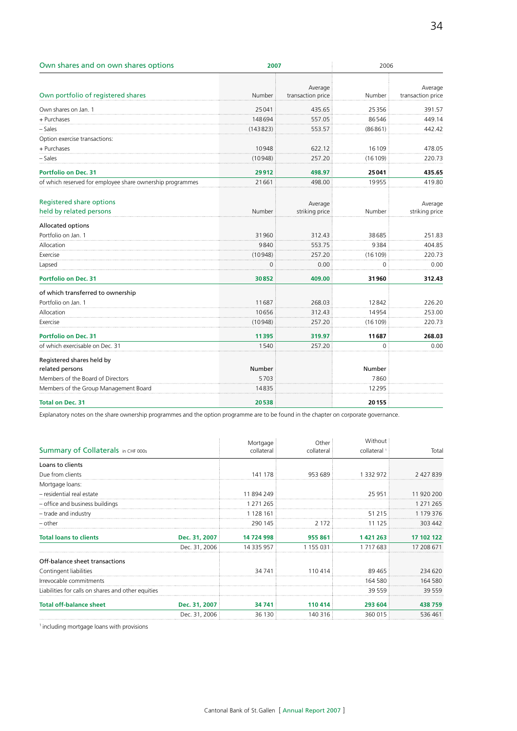| Own shares and on own shares options                       | 2007        |                              | 2006     |                              |
|------------------------------------------------------------|-------------|------------------------------|----------|------------------------------|
| Own portfolio of registered shares                         | Number      | Average<br>transaction price | Number   | Average<br>transaction price |
| Own shares on Jan. 1                                       | 25041       | 435.65                       | 25356    | 391.57                       |
| + Purchases                                                | 148694      | 557.05                       | 86546    | 449.14                       |
| - Sales                                                    | (143823)    | 553.57                       | (86861)  | 442.42                       |
| Option exercise transactions:                              |             |                              |          |                              |
| + Purchases                                                | 10948       | 622.12                       | 16109    | 478.05                       |
| – Sales                                                    | (10948)     | 257.20                       | (16109)  | 220.73                       |
| Portfolio on Dec. 31                                       | 29912       | 498.97                       | 25041    | 435.65                       |
| of which reserved for employee share ownership programmes  | 21661       | 498.00                       | 19955    | 419.80                       |
| <b>Registered share options</b><br>held by related persons | Number      | Average<br>striking price    | Number   | Average<br>striking price    |
| Allocated options                                          |             |                              |          |                              |
| Portfolio on Jan. 1                                        | 31960       | 312.43                       | 38685    | 251.83                       |
| Allocation                                                 | 9840        | 553.75                       | 9384     | 404.85                       |
| Exercise                                                   | (10948)     | 257.20                       | (16109)  | 220.73                       |
| Lapsed                                                     | $\mathbf 0$ | 0.00                         | 0        | 0.00                         |
| <b>Portfolio on Dec. 31</b>                                | 30852       | 409.00                       | 31960    | 312.43                       |
| of which transferred to ownership                          |             |                              |          |                              |
| Portfolio on Jan. 1                                        | 11687       | 268.03                       | 12842    | 226.20                       |
| Allocation                                                 | 10656       | 312.43                       | 14954    | 253.00                       |
| Exercise                                                   | (10948)     | 257.20                       | (16109)  | 220.73                       |
| <b>Portfolio on Dec. 31</b>                                | 11395       | 319.97                       | 11687    | 268.03                       |
| of which exercisable on Dec. 31                            | 1540        | 257.20                       | $\Omega$ | 0.00                         |
| Registered shares held by                                  |             |                              |          |                              |
| related persons                                            | Number      |                              | Number   |                              |
| Members of the Board of Directors                          | 5703        |                              | 7860     |                              |
| Members of the Group Management Board                      | 14835       |                              | 12295    |                              |
| <b>Total on Dec. 31</b>                                    | 20538       |                              | 20155    |                              |

Explanatory notes on the share ownership programmes and the option programme are to be found in the chapter on corporate governance.

|                                                    |               | Mortgage   | Other       | Without                 |            |
|----------------------------------------------------|---------------|------------|-------------|-------------------------|------------|
| Summary of Collaterals in CHF 000s                 |               | collateral | collateral  | collateral <sup>1</sup> | Total      |
| Loans to clients                                   |               |            |             |                         |            |
| Due from clients                                   |               | 141 178    | 953 689     | 1 332 972               | 2427839    |
| Mortgage loans:                                    |               |            |             |                         |            |
| - residential real estate                          |               | 11 894 249 |             | 25 951                  | 11 920 200 |
| - office and business buildings                    |               | 1 271 265  |             |                         | 1 271 265  |
| - trade and industry                               |               | 1 128 161  |             | 51 2 1 5                | 1 179 376  |
| – other                                            |               | 290 145    | 2 1 7 2     | 11 125                  | 303 442    |
| <b>Total loans to clients</b>                      | Dec. 31, 2007 | 14 724 998 | 955 861     | 1421263                 | 17 102 122 |
|                                                    | Dec. 31, 2006 | 14 335 957 | 1 1 5 0 3 1 | 1717683                 | 17 208 671 |
| Off-balance sheet transactions                     |               |            |             |                         |            |
| Contingent liabilities                             |               | 34 741     | 110414      | 89 4 65                 | 234 620    |
| Irrevocable commitments                            |               |            |             | 164 580                 | 164 580    |
| Liabilities for calls on shares and other equities |               |            |             | 39 559                  | 39 5 5 9   |
| <b>Total off-balance sheet</b>                     | Dec. 31, 2007 | 34 741     | 110 414     | 293 604                 | 438759     |
|                                                    | Dec. 31, 2006 | 36 130     | 140 316     | 360 015                 | 536461     |

1 including mortgage loans with provisions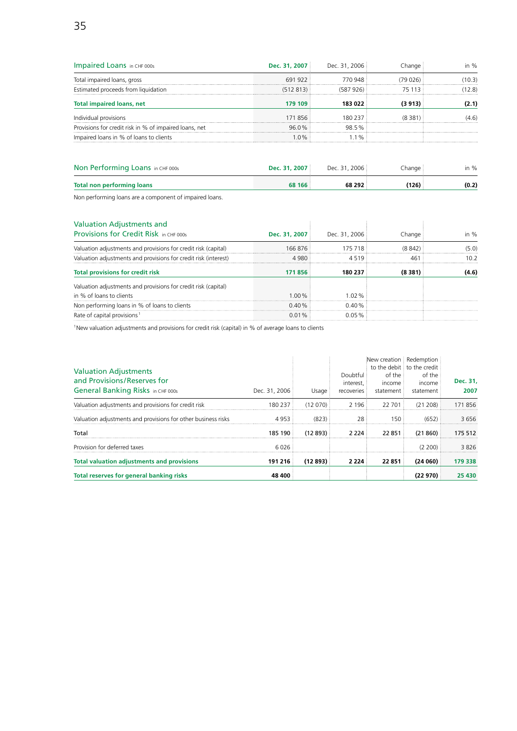| Impaired Loans in CHF 000s                             | Dec. 31, 2007            | Dec. 31, 2006 | Ihange  | in %  |
|--------------------------------------------------------|--------------------------|---------------|---------|-------|
| Total impaired loans, gross                            | 691 922                  | 770 948       | 79 N 26 | 10.3) |
| Estimated proceeds from liquidation                    | (512813)                 | (587 926)     | 75 113  | 12 RI |
| <b>Total impaired loans, net</b>                       | 179 109                  | 183022        | (3 913) |       |
| Individual provisions                                  | 171856                   | 180 237       | (8 381  | 4 6)  |
| Provisions for credit risk in % of impaired loans, net | 96.0%                    | 98.5%         |         |       |
| Impaired loans in % of loans to clients                | $\bigcap \mathcal{O}'_n$ | $1.1\%$       |         |       |

| Non Performing Loans in CHF 000s  | Dec. 31, 2007 | Dec. 31, 2006 | Change i | in %  |
|-----------------------------------|---------------|---------------|----------|-------|
| <b>Total non performing loans</b> | 68 166        | 68 292        | (126)    | (0.2) |

Non performing loans are a component of impaired loans.

| <b>Valuation Adjustments and</b>                                |               |               |         |         |
|-----------------------------------------------------------------|---------------|---------------|---------|---------|
| Provisions for Credit Risk in CHF 000s                          | Dec. 31, 2007 | Dec. 31, 2006 | Change  | in $\%$ |
| Valuation adjustments and provisions for credit risk (capital)  | 166 876       | 75 718        | (8.842) |         |
| Valuation adjustments and provisions for credit risk (interest) | 4 980         | 4 5 1 9       | 46      | 10 Z    |
| <b>Total provisions for credit risk</b>                         | 171856        | 180 237       | (8 381) |         |
| Valuation adjustments and provisions for credit risk (capital)  |               |               |         |         |
| in % of loans to clients                                        | 1.00%         | I በ2%         |         |         |
| Non performing loans in % of loans to clients                   | 0.40%         | በ 40%         |         |         |
| Rate of capital provisions                                      | 0.01%         | 0.05%         |         |         |

<sup>1</sup> New valuation adjustments and provisions for credit risk (capital) in % of average loans to clients

| <b>Valuation Adjustments</b><br>and Provisions/Reserves for<br><b>General Banking Risks</b> in CHF 000s | Dec. 31, 2006 | Usage   | Doubtful:<br>interest.<br>recoveries | New creation Redemption<br>of the i<br>income :<br>statement i | to the debit to the credit<br>of the<br>income<br>statement i | Dec. 31,<br>2007 |
|---------------------------------------------------------------------------------------------------------|---------------|---------|--------------------------------------|----------------------------------------------------------------|---------------------------------------------------------------|------------------|
| Valuation adjustments and provisions for credit risk                                                    | 180 237       | (12070) | 2 1 9 6                              | 22 701                                                         | (21208)                                                       | 171856           |
| Valuation adjustments and provisions for other business risks                                           | 4 9 5 3       | (823)   | 28                                   | 150                                                            | (652)                                                         | 3656             |
| Total                                                                                                   | 185 190       | (12893) | 2224                                 | 22 851                                                         | (21860)                                                       | 175 512          |
| Provision for deferred taxes                                                                            | 6026          |         |                                      |                                                                | (2, 200)                                                      | 3826             |
| <b>Total valuation adjustments and provisions</b>                                                       | 191 216       | (12893) | 2 2 2 4                              | 22 851                                                         | (24060)                                                       | 179 338          |
| Total reserves for general banking risks                                                                | 48 400        |         |                                      |                                                                | (22970)                                                       | 25 430           |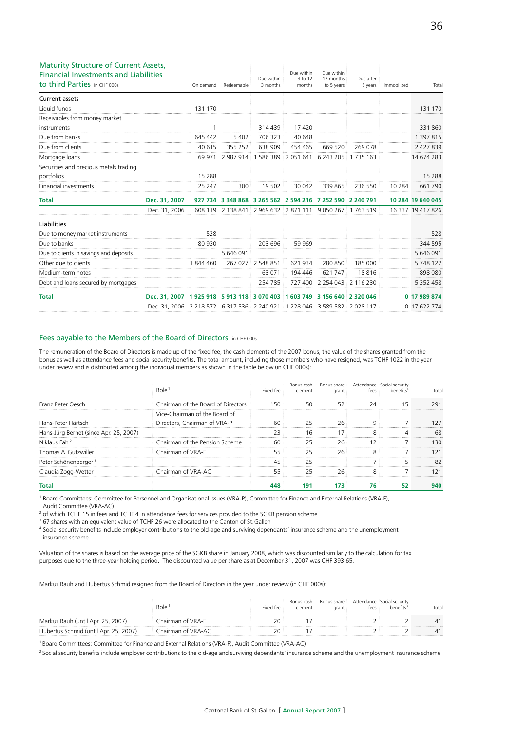| <b>Maturity Structure of Current Assets,</b><br><b>Financial Investments and Liabilities</b><br>to third Parties in CHF 000s |                                                                           | On demand | Redeemable                 | Due within<br>3 months | Due within<br>3 to 12<br>months | Due within<br>12 months<br>to 5 years | Due after<br>5 years                                        | Immobilized | Total             |
|------------------------------------------------------------------------------------------------------------------------------|---------------------------------------------------------------------------|-----------|----------------------------|------------------------|---------------------------------|---------------------------------------|-------------------------------------------------------------|-------------|-------------------|
| <b>Current assets</b>                                                                                                        |                                                                           |           |                            |                        |                                 |                                       |                                                             |             |                   |
| Liquid funds                                                                                                                 |                                                                           | 131 170   |                            |                        |                                 |                                       |                                                             |             | 131 170           |
| Receivables from money market                                                                                                |                                                                           |           |                            |                        |                                 |                                       |                                                             |             |                   |
| instruments                                                                                                                  |                                                                           |           |                            | 314 439                | 17420                           |                                       |                                                             |             | 331860            |
| Due from banks                                                                                                               |                                                                           | 645 442   | 5402                       | 706 323                | 40 648                          |                                       |                                                             |             | 1 397 815         |
| Due from clients                                                                                                             |                                                                           | 40 615    | 355 252                    | 638 909                | 454 465                         | 669 520                               | 269 078                                                     |             | 2 427 839         |
| Mortgage loans                                                                                                               |                                                                           |           | 69 971 2 987 914 1 586 389 |                        |                                 | 2 051 641 6 243 205 1 735 163         |                                                             |             | 14 674 283        |
| Securities and precious metals trading                                                                                       |                                                                           |           |                            |                        |                                 |                                       |                                                             |             |                   |
| portfolios                                                                                                                   |                                                                           | 15 2 8 8  |                            |                        |                                 |                                       |                                                             |             | 15 2 8 8          |
| <b>Financial investments</b>                                                                                                 |                                                                           | 25 247    | 300                        | 19 502                 | 30 042                          | 339 865                               | 236 550                                                     | 10 2 8 4    | 661790            |
| <b>Total</b>                                                                                                                 | Dec. 31, 2007                                                             |           |                            |                        |                                 |                                       | 927 734 3 348 868 3 265 562 3 594 216 3 7 252 590 3 240 791 |             | 10 284 19 640 045 |
|                                                                                                                              | Dec. 31, 2006                                                             |           |                            |                        |                                 |                                       | 608 119 2 138 841 2 969 632 2 871 111 9 050 267 1 763 519   |             | 16 337 19 417 826 |
| Liabilities                                                                                                                  |                                                                           |           |                            |                        |                                 |                                       |                                                             |             |                   |
| Due to money market instruments                                                                                              |                                                                           | 528       |                            |                        |                                 |                                       |                                                             |             | 528               |
| Due to banks                                                                                                                 |                                                                           | 80 930    |                            | 203 696                | 59 969                          |                                       |                                                             |             | 344 595           |
| Due to clients in savings and deposits                                                                                       |                                                                           |           | 5 646 091                  |                        |                                 |                                       |                                                             |             | 5 646 091         |
| Other due to clients                                                                                                         |                                                                           | 1844460   |                            | 267 027 2 548 851      | 621934                          | 280 850                               | 185 000                                                     |             | 5748122           |
| Medium-term notes                                                                                                            |                                                                           |           |                            | 63 071                 | 194 446                         | 621 747                               | 18816                                                       |             | 898 080           |
| Debt and loans secured by mortgages                                                                                          |                                                                           |           |                            | 254 785                |                                 | 727 400 2 254 043 2 116 230           |                                                             |             | 5 3 5 2 4 5 8     |
| <b>Total</b>                                                                                                                 | Dec. 31, 2007 1 925 918 5 913 118 3 070 403 1 603 749 3 156 640 2 320 046 |           |                            |                        |                                 |                                       |                                                             |             | 0 17 989 874      |
|                                                                                                                              | Dec. 31, 2006 2 218 572 6 317 536 2 240 921 1 228 046 3 589 582 2 028 117 |           |                            |                        |                                 |                                       |                                                             |             | 0 17 622 774      |

#### Fees payable to the Members of the Board of Directors in CHF 000s

The remuneration of the Board of Directors is made up of the fixed fee, the cash elements of the 2007 bonus, the value of the shares granted from the bonus as well as attendance fees and social security benefits. The total amount, including those members who have resigned, was TCHF 1022 in the year under review and is distributed among the individual members as shown in the table below (in CHF 000s):

|                                        | Role                                                          | Fixed fee: | element i | Bonus cash   Bonus share  <br>grant | fees | Attendance : Social security | Total |
|----------------------------------------|---------------------------------------------------------------|------------|-----------|-------------------------------------|------|------------------------------|-------|
| Franz Peter Oesch                      | Chairman of the Board of Directors                            | 150        | 50        |                                     |      |                              |       |
| Hans-Peter Härtsch                     | Vice-Chairman of the Board of<br>Directors, Chairman of VRA-P | 60         |           |                                     |      |                              |       |
| Hans-Jürg Bernet (since Apr. 25, 2007) |                                                               | つっ         | 16        |                                     |      |                              | 68    |
| Niklaus Fäh <sup>2</sup>               | Chairman of the Pension Scheme                                | 60         | 25        | 26                                  |      |                              | 1 3 N |
| Thomas A. Gutzwiller                   | Chairman of VRA-F                                             |            |           |                                     |      |                              |       |
| Peter Schönenberger <sup>3</sup>       |                                                               |            |           |                                     |      |                              |       |
| Claudia Zogg-Wetter                    | Chairman of VRA-AC                                            |            | 25.       | 26.                                 |      |                              |       |
|                                        |                                                               |            |           |                                     |      |                              |       |

1 Board Committees: Committee for Personnel and Organisational Issues (VRA-P), Committee for Finance and External Relations (VRA-F), Audit Committee (VRA-AC)

<sup>2</sup> of which TCHF 15 in fees and TCHF 4 in attendance fees for services provided to the SGKB pension scheme

<sup>3</sup> 67 shares with an equivalent value of TCHF 26 were allocated to the Canton of St. Gallen

4 Social security benefits include employer contributions to the old-age and surviving dependants' insurance scheme and the unemployment insurance scheme

Valuation of the shares is based on the average price of the SGKB share in January 2008, which was discounted similarly to the calculation for tax purposes due to the three-year holding period. The discounted value per share as at December 31, 2007 was CHF 393.65.

Markus Rauh and Hubertus Schmid resigned from the Board of Directors in the year under review (in CHF 000s):

|                                       | Role <sup>®</sup>        | Fixed fee | element: | grant i | fees : | Bonus cash : Bonus share : Attendance : Social security :<br>benefits <sup>2</sup> | Total |
|---------------------------------------|--------------------------|-----------|----------|---------|--------|------------------------------------------------------------------------------------|-------|
| Markus Rauh (until Apr. 25, 2007)     | Chairman of VRA-F        | 20        |          |         |        |                                                                                    |       |
| Hubertus Schmid (until Apr. 25, 2007) | $\pm$ Chairman of VRA-AC |           |          |         |        |                                                                                    |       |

1 Board Committees: Committee for Finance and External Relations (VRA-F), Audit Committee (VRA-AC)

<sup>2</sup> Social security benefits include employer contributions to the old-age and surviving dependants' insurance scheme and the unemployment insurance scheme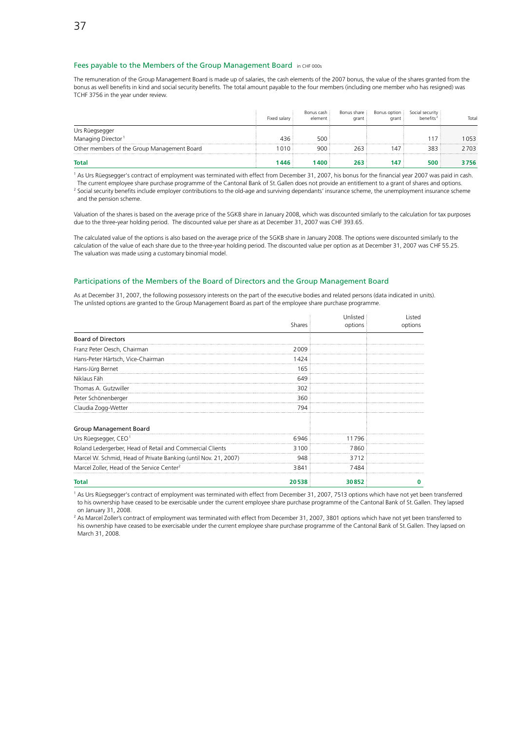#### Fees payable to the Members of the Group Management Board in CHF 000s

The remuneration of the Group Management Board is made up of salaries, the cash elements of the 2007 bonus, the value of the shares granted from the bonus as well benefits in kind and social security benefits. The total amount payable to the four members (including one member who has resigned) was TCHF 3756 in the year under review.

| <b>Total</b>                                | 1446         | 1400                  | 263                     | 147                      | 500                                        | 3756  |
|---------------------------------------------|--------------|-----------------------|-------------------------|--------------------------|--------------------------------------------|-------|
| Other members of the Group Management Board | 1010 i       | 900                   | 263                     |                          | 383                                        | 2703  |
| Managing Director <sup>1</sup>              | 436          | 500                   |                         |                          | 117                                        | 1053  |
| Urs Rüegsegger                              |              |                       |                         |                          |                                            |       |
|                                             | Fixed salary | Bonus cash<br>element | Bonus share:<br>arant i | Bonus option:<br>grant i | Social security :<br>benefits <sup>2</sup> | Total |

<sup>1</sup> As Urs Rüegsegger's contract of employment was terminated with effect from December 31, 2007, his bonus for the financial year 2007 was paid in cash. The current employee share purchase programme of the Cantonal Bank of St.Gallen does not provide an entitlement to a grant of shares and options. 2 <sup>2</sup> Social security benefits include employer contributions to the old-age and surviving dependants' insurance scheme, the unemployment insurance scheme

and the pension scheme.

Valuation of the shares is based on the average price of the SGKB share in January 2008, which was discounted similarly to the calculation for tax purposes due to the three-year holding period. The discounted value per share as at December 31, 2007 was CHF 393.65.

The calculated value of the options is also based on the average price of the SGKB share in January 2008. The options were discounted similarly to the calculation of the value of each share due to the three-year holding period. The discounted value per option as at December 31, 2007 was CHF 55.25. The valuation was made using a customary binomial model.

# Participations of the Members of the Board of Directors and the Group Management Board

As at December 31, 2007, the following possessory interests on the part of the executive bodies and related persons (data indicated in units). The unlisted options are granted to the Group Management Board as part of the employee share purchase programme.

|                                                                 |        | Unlisted | Listed  |
|-----------------------------------------------------------------|--------|----------|---------|
|                                                                 | Shares | options  | options |
| <b>Board of Directors</b>                                       |        |          |         |
| Franz Peter Oesch, Chairman                                     | 2009   |          |         |
| Hans-Peter Härtsch, Vice-Chairman                               | 1424   |          |         |
| Hans-Jürg Bernet                                                | 165    |          |         |
| Niklaus Fäh                                                     | 649    |          |         |
| Thomas A. Gutzwiller                                            | 302    |          |         |
| Peter Schönenberger                                             | 360    |          |         |
| Claudia Zogg-Wetter                                             | 794    |          |         |
| <b>Group Management Board</b>                                   |        |          |         |
| Urs Rüegsegger, CEO <sup>1</sup>                                | 6946   | 11796    |         |
| Roland Ledergerber, Head of Retail and Commercial Clients       | 3100   | 7860     |         |
| Marcel W. Schmid, Head of Private Banking (until Nov. 21, 2007) | 948    | 3712     |         |
| Marcel Zoller, Head of the Service Center <sup>2</sup>          | 3841   | 7484     |         |
| Total                                                           | 20538  | 30852    |         |

<sup>1</sup> As Urs Rüegsegger's contract of employment was terminated with effect from December 31, 2007, 7513 options which have not yet been transferred to his ownership have ceased to be exercisable under the current employee share purchase programme of the Cantonal Bank of St.Gallen. They lapsed on January 31, 2008.

<sup>2</sup> As Marcel Zoller's contract of employment was terminated with effect from December 31, 2007, 3801 options which have not yet been transferred to his ownership have ceased to be exercisable under the current employee share purchase programme of the Cantonal Bank of St.Gallen. They lapsed on March 31, 2008.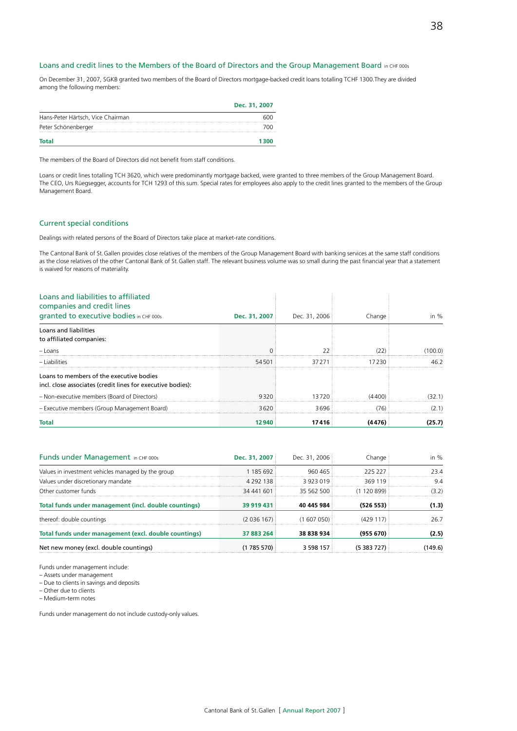#### Loans and credit lines to the Members of the Board of Directors and the Group Management Board in CHF 000s

On December 31, 2007, SGKB granted two members of the Board of Directors mortgage-backed credit loans totalling TCHF 1300.They are divided among the following members:

|                                   | Dec. 31, 2007 |
|-----------------------------------|---------------|
| Hans-Peter Härtsch, Vice Chairman |               |
| Peter Schönenberger               | 700           |
| Total                             | 1 2 N N       |

The members of the Board of Directors did not benefit from staff conditions.

Loans or credit lines totalling TCH 3620, which were predominantly mortgage backed, were granted to three members of the Group Management Board. The CEO, Urs Rüegsegger, accounts for TCH 1293 of this sum. Special rates for employees also apply to the credit lines granted to the members of the Group Management Board.

### Current special conditions

Dealings with related persons of the Board of Directors take place at market-rate conditions.

The Cantonal Bank of St.Gallen provides close relatives of the members of the Group Management Board with banking services at the same staff conditions as the close relatives of the other Cantonal Bank of St.Gallen staff. The relevant business volume was so small during the past financial year that a statement is waived for reasons of materiality.

| Loans and liabilities to affiliated<br>companies and credit lines                                       |               |               |        |        |
|---------------------------------------------------------------------------------------------------------|---------------|---------------|--------|--------|
| <b>granted to executive bodies in CHF 000s</b>                                                          | Dec. 31, 2007 | Dec. 31, 2006 | Change | in $%$ |
| Loans and liabilities<br>to affiliated companies:                                                       |               |               |        |        |
| $-$ Loans                                                                                               |               |               |        | nn n'  |
| – Liabilities                                                                                           | 54501         | 37271         | 17230  | 46 J   |
| Loans to members of the executive bodies<br>incl. close associates (credit lines for executive bodies): |               |               |        |        |
| - Non-executive members (Board of Directors)                                                            | 9320          | 13720         | (4400) |        |
| - Executive members (Group Management Board)                                                            | 3620          | 3696          | (76    |        |
| <b>Total</b>                                                                                            | 12 940        | 17416         | (4476) | 25.7)  |

| Funds under Management in CHF 000s                    | Dec. 31, 2007 | Dec. 31, 2006 | Change    | in $%$  |
|-------------------------------------------------------|---------------|---------------|-----------|---------|
| Values in investment vehicles managed by the group    | 185 692       | 960 465       | 225 227   | 23 4    |
| Values under discretionary mandate                    | 4 2 9 2 1 3 8 | 3923019       | 369 119   | 94      |
| Other customer funds                                  | 34 441 601    | 35 562 500    | 1120899)  | (3 Z)   |
| Total funds under management (incl. double countings) | 39 919 431    | 40 445 984    | (526 553) | (1.3)   |
| thereof: double countings                             | (2036167)     | (1607050)     | (429117)  | 26 7    |
| Total funds under management (excl. double countings) | 37 883 264    | 38 838 934    | (955670)  | (2.5)   |
| Net new money (excl. double countings)                | (1 785 570)   | 3 5 9 8 1 5 7 | (5383727) | (149.6) |

Funds under management include:

– Assets under management

– Due to clients in savings and deposits

– Other due to clients

– Medium-term notes

Funds under management do not include custody-only values.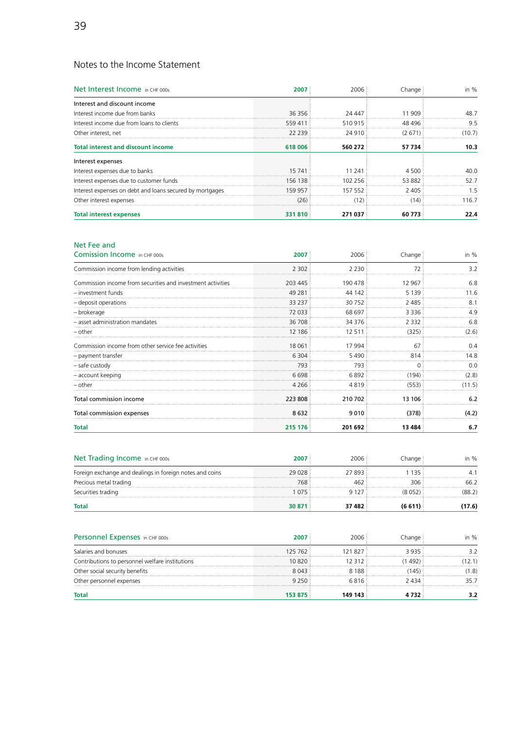# Notes to the Income Statement

| Net Interest Income in CHE 000s                          | 2007     | 2006    | Change  | in $%$ |
|----------------------------------------------------------|----------|---------|---------|--------|
| Interest and discount income                             |          |         |         |        |
| Interest income due from banks                           | 36 356   | 24 447  | 11909   | 48 7   |
| Interest income due from loans to clients                | 559411   | 510915  | 48 496  | 9 5    |
| Other interest, net                                      | 22 2 3 9 | 24 910  | (2 671) | 10.7   |
| <b>Total interest and discount income</b>                | 618 006  | 560 272 | 57 734  | 10.3   |
| Interest expenses                                        |          |         |         |        |
| Interest expenses due to banks                           | 15741    | 11 241  | 4500    | 40 N   |
| Interest expenses due to customer funds                  | 156 138  | 102 256 | 53882   | 52.7   |
| Interest expenses on debt and loans secured by mortgages | 159 957  | 157 552 | 2405    |        |
| Other interest expenses                                  | (26)     | (12)    | 14      | 16.7   |
| <b>Total interest expenses</b>                           | 331 810  | 271037  | 60 773  | 22.4   |

# Net Fee and

| Comission Income in CHF 000s                                | 2007    | 2006    | Change   | in %   |
|-------------------------------------------------------------|---------|---------|----------|--------|
| Commission income from lending activities                   | 2 3 0 2 | 2 2 3 0 | 72       | 3.2    |
| Commission income from securities and investment activities | 203 445 | 190 478 | 12 9 67  | 6.8    |
| - investment funds                                          | 49 281  | 44 142  | 5 1 3 9  | 11.6   |
| - deposit operations                                        | 33 2 37 | 30 752  | 2 4 8 5  | 8.1    |
| – brokerage                                                 | 72 033  | 68 697  | 3 3 3 6  | 4.9    |
| – asset administration mandates                             | 36 708  | 34 376  | 2 3 3 2  | 6.8    |
| – other                                                     | 12 186  | 12 5 11 | (325)    | (2.6)  |
| Commission income from other service fee activities         | 18 061  | 17 994  | 67       | 04     |
| - payment transfer                                          | 6 3 0 4 | 5490    | 814      | 14.8   |
| - safe custody                                              | 793     | 793     |          | n c    |
| - account keeping                                           | 6698    | 6892    | (194)    | (2.8)  |
| - other                                                     | 4 2 6 6 | 4819    | (553)    | (11.5) |
| Total commission income                                     | 223 808 | 210 702 | 13 106   | 6.2    |
| Total commission expenses                                   | 8632    | 9010    | (378)    | (4.2)  |
| <b>Total</b>                                                | 215 176 | 201 692 | 13 4 8 4 | 6.7    |

| Net Trading Income in CHF 000s                           | 2007   | 2006 : | Lhange : | in $%$ |
|----------------------------------------------------------|--------|--------|----------|--------|
| Foreign exchange and dealings in foreign notes and coins | 29.028 | 27 893 |          |        |
| Precious metal trading                                   | 768    |        |          |        |
| Securities trading                                       | 075    |        |          |        |
| Total                                                    |        | 37 482 | 16 611   | 7.6)   |

| Personnel Expenses in CHF 000s                  | 2007    | 2006.   | .hange | n % |
|-------------------------------------------------|---------|---------|--------|-----|
| Salaries and bonuses                            | 125 762 | 121827  | 3 935  |     |
| Contributions to personnel welfare institutions | 0.820   |         |        |     |
| Other social security benefits                  | 8.043   |         |        |     |
| personnel expenses :                            | 9.250   |         |        |     |
| Tota                                            | 153 875 | 149 143 |        |     |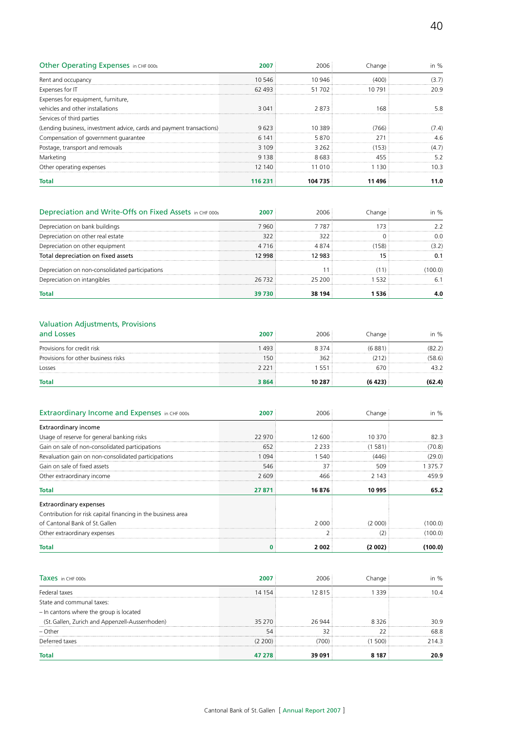| Other Operating Expenses in CHF 000s                                  | 2007    | 2006    | :hange | n %                            |
|-----------------------------------------------------------------------|---------|---------|--------|--------------------------------|
| Rent and occupancy                                                    | 10 546  | 10 946  |        |                                |
| Expenses for IT                                                       | 62 493  | 51 702  | 10 791 | 20 G                           |
| Expenses for equipment, furniture,                                    |         |         |        |                                |
| vehicles and other installations                                      | 3 0 4 1 | 2873    | 68     | 58                             |
| Services of third parties                                             |         |         |        |                                |
| (Lending business, investment advice, cards and payment transactions) | 9623    | 10 389  |        |                                |
| Compensation of government guarantee                                  | 6 1 4 1 | 5870    |        | ------------------------------ |
| Postage, transport and removals                                       | 3 1 0 9 | 3262:   |        |                                |
| Marketing                                                             | 138     | 8.683   |        |                                |
| Other operating expenses                                              |         |         | 30     |                                |
| Total                                                                 | 116 231 | 104 735 | 496    |                                |

| Depreciation and Write-Offs on Fixed Assets in CHF 000s |           |          |  |
|---------------------------------------------------------|-----------|----------|--|
| Depreciation on bank buildings                          | ' 96N     | 7 787    |  |
| Depreciation on other real estate                       |           |          |  |
| Depreciation on other equipment                         | 4 7 1 6 : | 4 874    |  |
| Total depreciation on fixed assets                      | -998      | २ ५८२    |  |
| Depreciation on non-consolidated participations         |           |          |  |
| Depreciation on intangibles                             | 26.732    | 25 200 I |  |
| Tota                                                    |           |          |  |

# Valuation Adjustments, Provisions

| and Losses                          | 200.                   |        | .hange | $\frac{0}{0}$ |
|-------------------------------------|------------------------|--------|--------|---------------|
| Provisions for credit risk          | $\Delta$ 9             | 8 374  |        |               |
| Provisions for other business risks | 50                     | 362    |        | .<br>         |
| Losses                              | <b>*************</b> * |        |        |               |
| Total                               | 3 864                  | 10.287 |        |               |

| Extraordinary Income and Expenses in CHF 000s                | 2007   | 2006    | Change  | in $%$  |
|--------------------------------------------------------------|--------|---------|---------|---------|
| <b>Extraordinary income</b>                                  |        |         |         |         |
| Usage of reserve for general banking risks                   | 22 970 | 12 600  | 10 370  | 82 B    |
| Gain on sale of non-consolidated participations              | 652    | 2 2 3 3 | (1581)  | 70.8)   |
| Revaluation gain on non-consolidated participations          | 094    | -540    | (446)   | 29.0    |
| Gain on sale of fixed assets                                 | 546    | 37      | 509     | 375.7   |
| Other extraordinary income                                   | 2609   | 466     | 2 143   | 4599    |
| <b>Total</b>                                                 | 27871  | 16876   | 10 995  | 65.2    |
| <b>Extraordinary expenses</b>                                |        |         |         |         |
| Contribution for risk capital financing in the business area |        |         |         |         |
| of Cantonal Bank of St. Gallen                               |        | 2 000   | (2 000) | (100.0) |
| Other extraordinary expenses                                 |        | D       | (2)     | (100.0) |
| <b>Total</b>                                                 |        | 2002    | (2 002) | (100.0) |

| Taxes in CHF 000s                               | 2007   | 2006   |      | ነ %   |
|-------------------------------------------------|--------|--------|------|-------|
| Federal taxes                                   | 14 154 | 12815  | 330  |       |
| State and communal taxes:                       |        |        |      |       |
| - In cantons where the group is located         |        |        |      |       |
| (St. Gallen, Zurich and Appenzell-Ausserrhoden) | 35 270 | 26 944 | 8326 | 30 G  |
| – Other                                         |        |        |      | 68 R  |
| Deferred taxes                                  |        |        |      | 214 R |
| Tota                                            |        |        |      |       |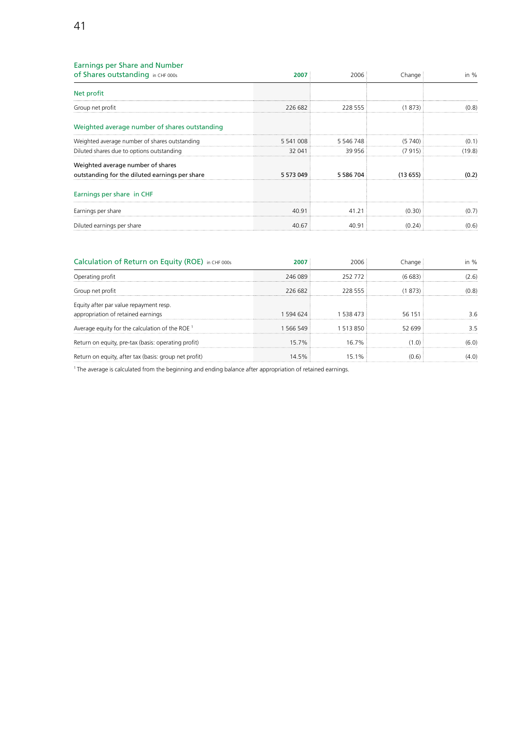# Earnings per Share and Number

| Of Shares outstanding in CHF 000s              | 2007    | 2006                | Change  | in $%$ |
|------------------------------------------------|---------|---------------------|---------|--------|
| Net profit                                     |         |                     |         |        |
| Group net profit                               | 226 682 | 228 555             | (1873)  |        |
| Weighted average number of shares outstanding  |         |                     |         |        |
| Weighted average number of shares outstanding  |         | 5 541 008 5 546 748 | (5740)  |        |
| Diluted shares due to options outstanding      | 32 041  | 39 956              | (7915)  | 19.8   |
| Weighted average number of shares              |         |                     |         |        |
| outstanding for the diluted earnings per share |         | 5 573 049 5 586 704 | (13655) |        |
| Earnings per share in CHF                      |         |                     |         |        |
| Earnings per share                             | 40.91   | 41.21               | (0.30)  |        |
| Diluted earnings per share                     | 40.67   | 40.91               | (0.24)  | (೧ ೯)  |

| Calculation of Return on Equity (ROE) in CHF 000s                            | 2001    | 2006      | Change  | in $%$ |
|------------------------------------------------------------------------------|---------|-----------|---------|--------|
| Operating profit                                                             | 246 089 | 252 772   | (6.683  |        |
| Group net profit                                                             | 226 682 | 228 555   | (1 873) | וא ח'  |
| Equity after par value repayment resp.<br>appropriation of retained earnings | 594 624 | 1 538 473 | 56 151  |        |
| Average equity for the calculation of the ROE                                | 566 549 | 1 513 850 | 52.699  |        |
| Return on equity, pre-tax (basis: operating profit)                          | 157% i  | 16 7%     |         | '  በነ  |
| Return on equity, after tax (basis: group net profit)                        | 145% i  | 15.1%     |         |        |

<sup>1</sup> The average is calculated from the beginning and ending balance after appropriation of retained earnings.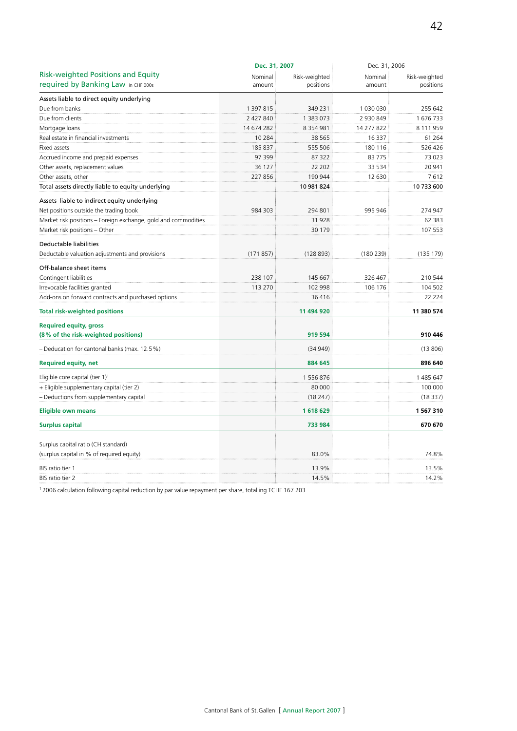| <b>Risk-weighted Positions and Equity</b><br>Nominal<br>Risk-weighted<br>Nominal<br>Risk-weighted<br>required by Banking Law in CHF 000s<br>amount<br>positions<br>positions<br>amount<br>Assets liable to direct equity underlying<br>Due from banks<br>1 030 030<br>255 642<br>1 397 815<br>349 231<br>Due from clients<br>2 427 840<br>1 383 073<br>2 930 849<br>1676733<br>8 111 959<br>Mortgage loans<br>14 674 282<br>8 3 5 4 9 8 1<br>14 277 822<br>Real estate in financial investments<br>61 264<br>10 2 8 4<br>38 5 65<br>16 337<br>Fixed assets<br>185 837<br>555 506<br>180 116<br>526 426<br>Accrued income and prepaid expenses<br>97 399<br>87 322<br>83775<br>73 023<br>Other assets, replacement values<br>36 127<br>22 202<br>33 5 34<br>20 941<br>Other assets, other<br>190 944<br>7612<br>227856<br>12 630<br>Total assets directly liable to equity underlying<br>10 981 824<br>10 733 600<br>Assets liable to indirect equity underlying<br>Net positions outside the trading book<br>984 303<br>294 801<br>995 946<br>274 947<br>Market risk positions – Foreign exchange, gold and commodities<br>31928<br>62 383<br>Market risk positions - Other<br>107 553<br>30 179<br>Deductable liabilities<br>Deductable valuation adjustments and provisions<br>(171857)<br>(128893)<br>(180 239)<br>(135 179)<br>Off-balance sheet items<br>Contingent liabilities<br>238 107<br>145 667<br>326 467<br>210 544<br>Irrevocable facilities granted<br>113 270<br>102 998<br>106 176<br>104 502<br>Add-ons on forward contracts and purchased options<br>36416<br>22 2 2 4<br>11 494 920<br>11 380 574<br><b>Total risk-weighted positions</b><br><b>Required equity, gross</b><br>(8% of the risk-weighted positions)<br>919 594<br>910 446<br>- Deducation for cantonal banks (max. 12.5%)<br>(34949)<br>(13,806)<br><b>Required equity, net</b><br>884 645<br>896 640<br>Eligible core capital (tier 1) <sup>1</sup><br>1 485 647<br>1556876<br>+ Eligible supplementary capital (tier 2)<br>100 000<br>80 000<br>- Deductions from supplementary capital<br>(18247)<br>(18337)<br><b>Eligible own means</b><br>1618629<br>1 567 310<br><b>Surplus capital</b><br>670 670<br>733 984<br>Surplus capital ratio (CH standard)<br>(surplus capital in % of required equity)<br>83.0%<br>74.8%<br>13.9%<br>BIS ratio tier 1<br>13.5%<br>14.5%<br>14.2%<br>BIS ratio tier 2 | Dec. 31, 2007 | Dec. 31, 2006 |  |
|------------------------------------------------------------------------------------------------------------------------------------------------------------------------------------------------------------------------------------------------------------------------------------------------------------------------------------------------------------------------------------------------------------------------------------------------------------------------------------------------------------------------------------------------------------------------------------------------------------------------------------------------------------------------------------------------------------------------------------------------------------------------------------------------------------------------------------------------------------------------------------------------------------------------------------------------------------------------------------------------------------------------------------------------------------------------------------------------------------------------------------------------------------------------------------------------------------------------------------------------------------------------------------------------------------------------------------------------------------------------------------------------------------------------------------------------------------------------------------------------------------------------------------------------------------------------------------------------------------------------------------------------------------------------------------------------------------------------------------------------------------------------------------------------------------------------------------------------------------------------------------------------------------------------------------------------------------------------------------------------------------------------------------------------------------------------------------------------------------------------------------------------------------------------------------------------------------------------------------------------------------------------------------------------------------------------------------------------------------------------------------------|---------------|---------------|--|
|                                                                                                                                                                                                                                                                                                                                                                                                                                                                                                                                                                                                                                                                                                                                                                                                                                                                                                                                                                                                                                                                                                                                                                                                                                                                                                                                                                                                                                                                                                                                                                                                                                                                                                                                                                                                                                                                                                                                                                                                                                                                                                                                                                                                                                                                                                                                                                                          |               |               |  |
|                                                                                                                                                                                                                                                                                                                                                                                                                                                                                                                                                                                                                                                                                                                                                                                                                                                                                                                                                                                                                                                                                                                                                                                                                                                                                                                                                                                                                                                                                                                                                                                                                                                                                                                                                                                                                                                                                                                                                                                                                                                                                                                                                                                                                                                                                                                                                                                          |               |               |  |
|                                                                                                                                                                                                                                                                                                                                                                                                                                                                                                                                                                                                                                                                                                                                                                                                                                                                                                                                                                                                                                                                                                                                                                                                                                                                                                                                                                                                                                                                                                                                                                                                                                                                                                                                                                                                                                                                                                                                                                                                                                                                                                                                                                                                                                                                                                                                                                                          |               |               |  |
|                                                                                                                                                                                                                                                                                                                                                                                                                                                                                                                                                                                                                                                                                                                                                                                                                                                                                                                                                                                                                                                                                                                                                                                                                                                                                                                                                                                                                                                                                                                                                                                                                                                                                                                                                                                                                                                                                                                                                                                                                                                                                                                                                                                                                                                                                                                                                                                          |               |               |  |
|                                                                                                                                                                                                                                                                                                                                                                                                                                                                                                                                                                                                                                                                                                                                                                                                                                                                                                                                                                                                                                                                                                                                                                                                                                                                                                                                                                                                                                                                                                                                                                                                                                                                                                                                                                                                                                                                                                                                                                                                                                                                                                                                                                                                                                                                                                                                                                                          |               |               |  |
|                                                                                                                                                                                                                                                                                                                                                                                                                                                                                                                                                                                                                                                                                                                                                                                                                                                                                                                                                                                                                                                                                                                                                                                                                                                                                                                                                                                                                                                                                                                                                                                                                                                                                                                                                                                                                                                                                                                                                                                                                                                                                                                                                                                                                                                                                                                                                                                          |               |               |  |
|                                                                                                                                                                                                                                                                                                                                                                                                                                                                                                                                                                                                                                                                                                                                                                                                                                                                                                                                                                                                                                                                                                                                                                                                                                                                                                                                                                                                                                                                                                                                                                                                                                                                                                                                                                                                                                                                                                                                                                                                                                                                                                                                                                                                                                                                                                                                                                                          |               |               |  |
|                                                                                                                                                                                                                                                                                                                                                                                                                                                                                                                                                                                                                                                                                                                                                                                                                                                                                                                                                                                                                                                                                                                                                                                                                                                                                                                                                                                                                                                                                                                                                                                                                                                                                                                                                                                                                                                                                                                                                                                                                                                                                                                                                                                                                                                                                                                                                                                          |               |               |  |
|                                                                                                                                                                                                                                                                                                                                                                                                                                                                                                                                                                                                                                                                                                                                                                                                                                                                                                                                                                                                                                                                                                                                                                                                                                                                                                                                                                                                                                                                                                                                                                                                                                                                                                                                                                                                                                                                                                                                                                                                                                                                                                                                                                                                                                                                                                                                                                                          |               |               |  |
|                                                                                                                                                                                                                                                                                                                                                                                                                                                                                                                                                                                                                                                                                                                                                                                                                                                                                                                                                                                                                                                                                                                                                                                                                                                                                                                                                                                                                                                                                                                                                                                                                                                                                                                                                                                                                                                                                                                                                                                                                                                                                                                                                                                                                                                                                                                                                                                          |               |               |  |
|                                                                                                                                                                                                                                                                                                                                                                                                                                                                                                                                                                                                                                                                                                                                                                                                                                                                                                                                                                                                                                                                                                                                                                                                                                                                                                                                                                                                                                                                                                                                                                                                                                                                                                                                                                                                                                                                                                                                                                                                                                                                                                                                                                                                                                                                                                                                                                                          |               |               |  |
|                                                                                                                                                                                                                                                                                                                                                                                                                                                                                                                                                                                                                                                                                                                                                                                                                                                                                                                                                                                                                                                                                                                                                                                                                                                                                                                                                                                                                                                                                                                                                                                                                                                                                                                                                                                                                                                                                                                                                                                                                                                                                                                                                                                                                                                                                                                                                                                          |               |               |  |
|                                                                                                                                                                                                                                                                                                                                                                                                                                                                                                                                                                                                                                                                                                                                                                                                                                                                                                                                                                                                                                                                                                                                                                                                                                                                                                                                                                                                                                                                                                                                                                                                                                                                                                                                                                                                                                                                                                                                                                                                                                                                                                                                                                                                                                                                                                                                                                                          |               |               |  |
|                                                                                                                                                                                                                                                                                                                                                                                                                                                                                                                                                                                                                                                                                                                                                                                                                                                                                                                                                                                                                                                                                                                                                                                                                                                                                                                                                                                                                                                                                                                                                                                                                                                                                                                                                                                                                                                                                                                                                                                                                                                                                                                                                                                                                                                                                                                                                                                          |               |               |  |
|                                                                                                                                                                                                                                                                                                                                                                                                                                                                                                                                                                                                                                                                                                                                                                                                                                                                                                                                                                                                                                                                                                                                                                                                                                                                                                                                                                                                                                                                                                                                                                                                                                                                                                                                                                                                                                                                                                                                                                                                                                                                                                                                                                                                                                                                                                                                                                                          |               |               |  |
|                                                                                                                                                                                                                                                                                                                                                                                                                                                                                                                                                                                                                                                                                                                                                                                                                                                                                                                                                                                                                                                                                                                                                                                                                                                                                                                                                                                                                                                                                                                                                                                                                                                                                                                                                                                                                                                                                                                                                                                                                                                                                                                                                                                                                                                                                                                                                                                          |               |               |  |
|                                                                                                                                                                                                                                                                                                                                                                                                                                                                                                                                                                                                                                                                                                                                                                                                                                                                                                                                                                                                                                                                                                                                                                                                                                                                                                                                                                                                                                                                                                                                                                                                                                                                                                                                                                                                                                                                                                                                                                                                                                                                                                                                                                                                                                                                                                                                                                                          |               |               |  |
|                                                                                                                                                                                                                                                                                                                                                                                                                                                                                                                                                                                                                                                                                                                                                                                                                                                                                                                                                                                                                                                                                                                                                                                                                                                                                                                                                                                                                                                                                                                                                                                                                                                                                                                                                                                                                                                                                                                                                                                                                                                                                                                                                                                                                                                                                                                                                                                          |               |               |  |
|                                                                                                                                                                                                                                                                                                                                                                                                                                                                                                                                                                                                                                                                                                                                                                                                                                                                                                                                                                                                                                                                                                                                                                                                                                                                                                                                                                                                                                                                                                                                                                                                                                                                                                                                                                                                                                                                                                                                                                                                                                                                                                                                                                                                                                                                                                                                                                                          |               |               |  |
|                                                                                                                                                                                                                                                                                                                                                                                                                                                                                                                                                                                                                                                                                                                                                                                                                                                                                                                                                                                                                                                                                                                                                                                                                                                                                                                                                                                                                                                                                                                                                                                                                                                                                                                                                                                                                                                                                                                                                                                                                                                                                                                                                                                                                                                                                                                                                                                          |               |               |  |
|                                                                                                                                                                                                                                                                                                                                                                                                                                                                                                                                                                                                                                                                                                                                                                                                                                                                                                                                                                                                                                                                                                                                                                                                                                                                                                                                                                                                                                                                                                                                                                                                                                                                                                                                                                                                                                                                                                                                                                                                                                                                                                                                                                                                                                                                                                                                                                                          |               |               |  |
|                                                                                                                                                                                                                                                                                                                                                                                                                                                                                                                                                                                                                                                                                                                                                                                                                                                                                                                                                                                                                                                                                                                                                                                                                                                                                                                                                                                                                                                                                                                                                                                                                                                                                                                                                                                                                                                                                                                                                                                                                                                                                                                                                                                                                                                                                                                                                                                          |               |               |  |
|                                                                                                                                                                                                                                                                                                                                                                                                                                                                                                                                                                                                                                                                                                                                                                                                                                                                                                                                                                                                                                                                                                                                                                                                                                                                                                                                                                                                                                                                                                                                                                                                                                                                                                                                                                                                                                                                                                                                                                                                                                                                                                                                                                                                                                                                                                                                                                                          |               |               |  |
|                                                                                                                                                                                                                                                                                                                                                                                                                                                                                                                                                                                                                                                                                                                                                                                                                                                                                                                                                                                                                                                                                                                                                                                                                                                                                                                                                                                                                                                                                                                                                                                                                                                                                                                                                                                                                                                                                                                                                                                                                                                                                                                                                                                                                                                                                                                                                                                          |               |               |  |
|                                                                                                                                                                                                                                                                                                                                                                                                                                                                                                                                                                                                                                                                                                                                                                                                                                                                                                                                                                                                                                                                                                                                                                                                                                                                                                                                                                                                                                                                                                                                                                                                                                                                                                                                                                                                                                                                                                                                                                                                                                                                                                                                                                                                                                                                                                                                                                                          |               |               |  |
|                                                                                                                                                                                                                                                                                                                                                                                                                                                                                                                                                                                                                                                                                                                                                                                                                                                                                                                                                                                                                                                                                                                                                                                                                                                                                                                                                                                                                                                                                                                                                                                                                                                                                                                                                                                                                                                                                                                                                                                                                                                                                                                                                                                                                                                                                                                                                                                          |               |               |  |
|                                                                                                                                                                                                                                                                                                                                                                                                                                                                                                                                                                                                                                                                                                                                                                                                                                                                                                                                                                                                                                                                                                                                                                                                                                                                                                                                                                                                                                                                                                                                                                                                                                                                                                                                                                                                                                                                                                                                                                                                                                                                                                                                                                                                                                                                                                                                                                                          |               |               |  |
|                                                                                                                                                                                                                                                                                                                                                                                                                                                                                                                                                                                                                                                                                                                                                                                                                                                                                                                                                                                                                                                                                                                                                                                                                                                                                                                                                                                                                                                                                                                                                                                                                                                                                                                                                                                                                                                                                                                                                                                                                                                                                                                                                                                                                                                                                                                                                                                          |               |               |  |
|                                                                                                                                                                                                                                                                                                                                                                                                                                                                                                                                                                                                                                                                                                                                                                                                                                                                                                                                                                                                                                                                                                                                                                                                                                                                                                                                                                                                                                                                                                                                                                                                                                                                                                                                                                                                                                                                                                                                                                                                                                                                                                                                                                                                                                                                                                                                                                                          |               |               |  |
|                                                                                                                                                                                                                                                                                                                                                                                                                                                                                                                                                                                                                                                                                                                                                                                                                                                                                                                                                                                                                                                                                                                                                                                                                                                                                                                                                                                                                                                                                                                                                                                                                                                                                                                                                                                                                                                                                                                                                                                                                                                                                                                                                                                                                                                                                                                                                                                          |               |               |  |
|                                                                                                                                                                                                                                                                                                                                                                                                                                                                                                                                                                                                                                                                                                                                                                                                                                                                                                                                                                                                                                                                                                                                                                                                                                                                                                                                                                                                                                                                                                                                                                                                                                                                                                                                                                                                                                                                                                                                                                                                                                                                                                                                                                                                                                                                                                                                                                                          |               |               |  |
|                                                                                                                                                                                                                                                                                                                                                                                                                                                                                                                                                                                                                                                                                                                                                                                                                                                                                                                                                                                                                                                                                                                                                                                                                                                                                                                                                                                                                                                                                                                                                                                                                                                                                                                                                                                                                                                                                                                                                                                                                                                                                                                                                                                                                                                                                                                                                                                          |               |               |  |
|                                                                                                                                                                                                                                                                                                                                                                                                                                                                                                                                                                                                                                                                                                                                                                                                                                                                                                                                                                                                                                                                                                                                                                                                                                                                                                                                                                                                                                                                                                                                                                                                                                                                                                                                                                                                                                                                                                                                                                                                                                                                                                                                                                                                                                                                                                                                                                                          |               |               |  |
|                                                                                                                                                                                                                                                                                                                                                                                                                                                                                                                                                                                                                                                                                                                                                                                                                                                                                                                                                                                                                                                                                                                                                                                                                                                                                                                                                                                                                                                                                                                                                                                                                                                                                                                                                                                                                                                                                                                                                                                                                                                                                                                                                                                                                                                                                                                                                                                          |               |               |  |
|                                                                                                                                                                                                                                                                                                                                                                                                                                                                                                                                                                                                                                                                                                                                                                                                                                                                                                                                                                                                                                                                                                                                                                                                                                                                                                                                                                                                                                                                                                                                                                                                                                                                                                                                                                                                                                                                                                                                                                                                                                                                                                                                                                                                                                                                                                                                                                                          |               |               |  |

1 2006 calculation following capital reduction by par value repayment per share, totalling TCHF 167 203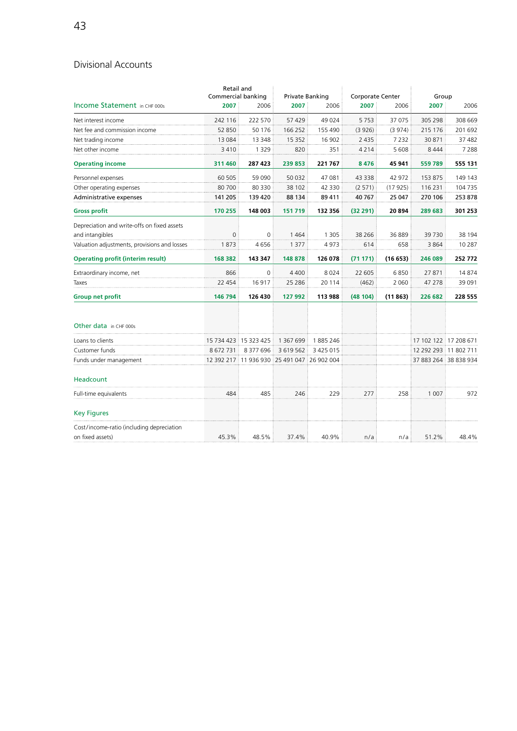# Divisional Accounts

|                                                                | Retail and | Commercial banking                          | Private Banking |               | <b>Corporate Center</b> |         | Group                 |                       |
|----------------------------------------------------------------|------------|---------------------------------------------|-----------------|---------------|-------------------------|---------|-----------------------|-----------------------|
| Income Statement in CHF 000s                                   | 2007       | 2006                                        | 2007            | 2006          | 2007                    | 2006    | 2007                  | 2006                  |
| Net interest income                                            | 242 116    | 222 570                                     | 57 429          | 49024         | 5753                    | 37 075  | 305 298               | 308 669               |
| Net fee and commission income                                  | 52 850     | 50 176                                      | 166 252         | 155 490       | (3926)                  | (3974)  | 215 176               | 201 692               |
| Net trading income                                             | 13 0 84    | 13 348                                      | 15 3 52         | 16 902        | 2 4 3 5                 | 7 2 3 2 | 30 871                | 37 482                |
| Net other income                                               | 3410       | 1 3 2 9                                     | 820             | 351           | 4 2 1 4                 | 5 6 0 8 | 8 4 4 4               | 7 2 8 8               |
| <b>Operating income</b>                                        | 311460     | 287 423                                     | 239 853         | 221 767       | 8476                    | 45 941  | 559 789               | 555 131               |
| Personnel expenses                                             | 60 50 5    | 59 0 90                                     | 50 032          | 47 081        | 43 338                  | 42 972  | 153 875               | 149 143               |
| Other operating expenses                                       | 80 700     | 80 330                                      | 38 102          | 42 3 3 0      | (2571)                  | (17925) | 116 231               | 104 735               |
| Administrative expenses                                        | 141 205    | 139 420                                     | 88 134          | 89 411        | 40 767                  | 25 047  | 270 106               | 253 878               |
| <b>Gross profit</b>                                            | 170 255    | 148 003                                     | 151 719         | 132 356       | (32 291)                | 20894   | 289 683               | 301 253               |
| Depreciation and write-offs on fixed assets<br>and intangibles | $\Omega$   | 0                                           | 1464            | 1 3 0 5       | 38 26 6                 | 36 889  | 39730                 | 38 194                |
| Valuation adjustments, provisions and losses                   | 1873       | 4656                                        | 1 3 7 7         | 4973          | 614                     | 658     | 3864                  | 10 287                |
| <b>Operating profit (interim result)</b>                       | 168 382    | 143 347                                     | 148 878         | 126 078       | (7111)                  | (16653) | 246 089               | 252772                |
| Extraordinary income, net                                      | 866        | 0                                           | 4 4 0 0         | 8024          | 22 605                  | 6850    | 27871                 | 14874                 |
| Taxes                                                          | 22 4 5 4   | 16917                                       | 25 28 6         | 20114         | (462)                   | 2 0 6 0 | 47 278                | 39 091                |
| <b>Group net profit</b>                                        | 146 794    | 126 430                                     | 127 992         | 113 988       | (48104)                 | (11863) | 226 682               | 228 555               |
| Other data in CHF 000s                                         |            |                                             |                 |               |                         |         |                       |                       |
| Loans to clients                                               |            | 15 734 423 15 323 425                       | 1 367 699       | 1885246       |                         |         | 17 102 122 17 208 671 |                       |
| Customer funds                                                 | 8672731    | 8 377 696                                   | 3 6 1 9 5 6 2   | 3 4 2 5 0 1 5 |                         |         |                       | 12 292 293 11 802 711 |
| Funds under management                                         |            | 12 392 217 11 936 930 25 491 047 26 902 004 |                 |               |                         |         |                       | 37 883 264 38 838 934 |
| Headcount                                                      |            |                                             |                 |               |                         |         |                       |                       |
| Full-time equivalents                                          | 484        | 485                                         | 246             | 229           | 277                     | 258     | 1 0 0 7               | 972                   |
| <b>Key Figures</b>                                             |            |                                             |                 |               |                         |         |                       |                       |
| Cost/income-ratio (including depreciation<br>on fixed assets)  | 45.3%      | 48.5%                                       | 37.4%           | 40.9%         | n/a                     | n/a     | 51.2%                 | 48.4%                 |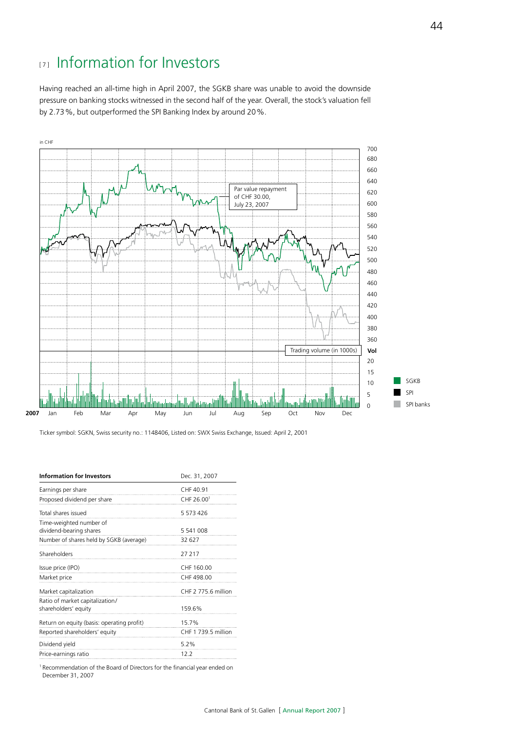# [7] Information for Investors

Having reached an all-time high in April 2007, the SGKB share was unable to avoid the downside pressure on banking stocks witnessed in the second half of the year. Overall, the stock's valuation fell by 2.73%, but outperformed the SPI Banking Index by around 20%.



Ticker symbol: SGKN, Swiss security no.: 1148406, Listed on: SWX Swiss Exchange, Issued: April 2, 2001

| <b>Information for Investors</b>                                                              | Dec. 31, 2007          |
|-----------------------------------------------------------------------------------------------|------------------------|
| Earnings per share                                                                            | CHF 40.91              |
| Proposed dividend per share                                                                   | CHF 26.00 <sup>1</sup> |
| Total shares issued                                                                           | 5 5 7 3 4 2 6          |
| Time-weighted number of<br>dividend-bearing shares<br>Number of shares held by SGKB (average) | 5 541 008<br>32 627    |
| Shareholders                                                                                  | 27 217                 |
| Issue price (IPO)                                                                             | CHF 160.00             |
| Market price                                                                                  | CHF 498.00             |
| Market capitalization                                                                         | CHF 2 775.6 million    |
| Ratio of market capitalization/<br>shareholders' equity                                       | 159.6%                 |
| Return on equity (basis: operating profit)                                                    | 15.7%                  |
| Reported shareholders' equity                                                                 | CHF 1 739.5 million    |
| Dividend yield                                                                                | 5.2%                   |
| Price-earnings ratio                                                                          | 12.2                   |

<sup>1</sup> Recommendation of the Board of Directors for the financial year ended on December 31, 2007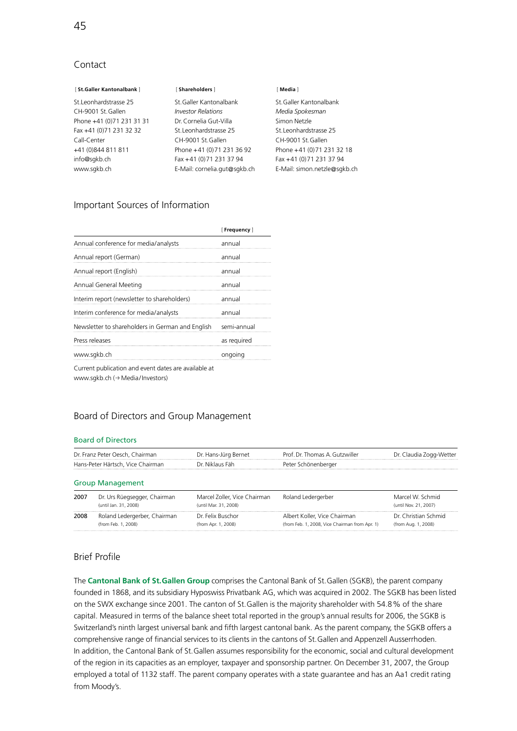# Contact

| [St.Galler Kantonalbank]  | Shareholders 1               | ์ Media                      |
|---------------------------|------------------------------|------------------------------|
| St.Leonhardstrasse 25     | St. Galler Kantonalbank      | St. Galler Kantonalbank      |
| CH-9001 St. Gallen        | <b>Investor Relations</b>    | Media Spokesman              |
| Phone +41 (0)71 231 31 31 | Dr. Cornelia Gut-Villa       | Simon Netzle                 |
| Fax +41 (0)71 231 32 32   | St. Leonhardstrasse 25       | St. Leonhardstrasse 25       |
| Call-Center               | CH-9001 St. Gallen           | CH-9001 St. Gallen           |
| +41 (0)844 811 811        | Phone +41 (0) 71 231 36 92   | Phone +41 (0) 71 231 32 18   |
| info@sqkb.ch              | Fax +41 (0) 71 231 37 94     | Fax +41 (0) 71 231 37 94     |
| www.sqkb.ch               | E-Mail: cornelia.gut@sgkb.ch | E-Mail: simon.netzle@sgkb.ch |

# Important Sources of Information

|                                                  | [ Frequency ] |
|--------------------------------------------------|---------------|
| Annual conference for media/analysts             | annual        |
| Annual report (German)                           | annual        |
| Annual report (English)                          | annual        |
| Annual General Meeting                           | annual        |
| Interim report (newsletter to shareholders)      | annual        |
| Interim conference for media/analysts            | annual        |
| Newsletter to shareholders in German and English | semi-annual   |
| Press releases                                   | as required   |
| www.sqkb.ch                                      | ongoing       |

Current publication and event dates are available at www.sqkb.ch  $(3 + 1)$  Media/Investors)

# Board of Directors and Group Management

#### Board of Directors

|      | Dr. Franz Peter Oesch, Chairman   | Dr. Hans-Jürg Bernet         | Prof. Dr. Thomas A. Gutzwiller | Dr. Claudia Zogg-Wetter |
|------|-----------------------------------|------------------------------|--------------------------------|-------------------------|
|      | Hans-Peter Härtsch, Vice Chairman | Dr. Niklaus Fäh              | Peter Schönenberger            |                         |
|      | <b>Group Management</b>           |                              |                                |                         |
| 2007 | Dr. Urs Rüegsegger, Chairman      | Marcel Zoller, Vice Chairman | Roland Ledergerber             | Marcel W. Schmid        |

| 2007 | Dr. Urs Rüegsegger, Chairman<br>(until Jan. 31, 2008) | Marcel Zoller, Vice Chairman<br>(until Mar. 31, 2008) | Roland Ledergerber                             | Marcel W. Schmid<br>(until Nov. 21, 2007) |
|------|-------------------------------------------------------|-------------------------------------------------------|------------------------------------------------|-------------------------------------------|
| 2008 | Roland Ledergerber, Chairman                          | Dr. Felix Buschor                                     | Albert Koller, Vice Chairman                   | Dr. Christian Schmid                      |
|      | (from Feb. 1, 2008)                                   | (from Apr. 1, 2008)                                   | (from Feb. 1, 2008, Vice Chairman from Apr. 1) | (from Aug. 1, 2008)                       |

# Brief Profile

The **Cantonal Bank of St.Gallen Group** comprises the Cantonal Bank of St.Gallen (SGKB), the parent company founded in 1868, and its subsidiary Hyposwiss Privatbank AG, which was acquired in 2002. The SGKB has been listed on the SWX exchange since 2001. The canton of St.Gallen is the majority shareholder with 54.8% of the share capital. Measured in terms of the balance sheet total reported in the group's annual results for 2006, the SGKB is Switzerland's ninth largest universal bank and fifth largest cantonal bank. As the parent company, the SGKB offers a comprehensive range of financial services to its clients in the cantons of St.Gallen and Appenzell Ausserrhoden. In addition, the Cantonal Bank of St.Gallen assumes responsibility for the economic, social and cultural development of the region in its capacities as an employer, taxpayer and sponsorship partner. On December 31, 2007, the Group employed a total of 1132 staff. The parent company operates with a state guarantee and has an Aa1 credit rating from Moody's.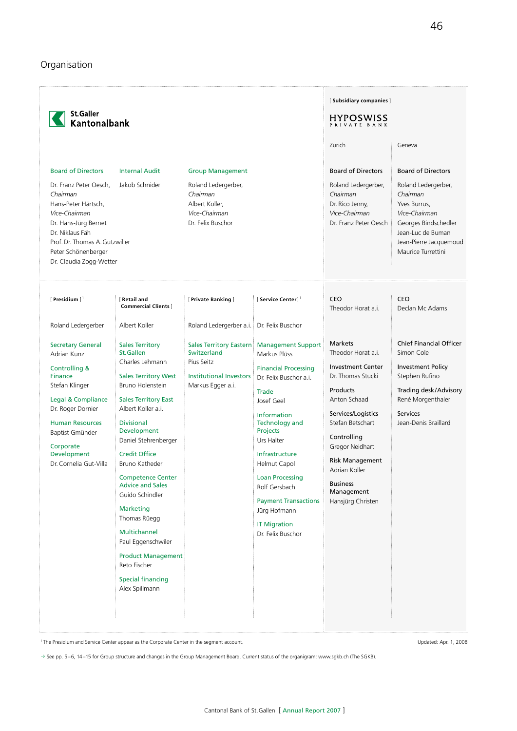# Organisation

| <b>St Galler</b><br><b>Kantonalbank</b><br><b>Board of Directors</b>                                                                                                                                                                | <b>Internal Audit</b>                                                                                                                                                                                                                                                                                                                                                                                                                                                                                               | <b>Group Management</b>                                                                 |                                                                                                                                                                                                                                                                                                                                                                                             | [Subsidiary companies]<br><b>HYPOSWISS</b><br>PRIVATE BANK<br>Zurich<br><b>Board of Directors</b>                                                                                                                                                                                              | Geneva<br><b>Board of Directors</b>                                                                                                                                                 |
|-------------------------------------------------------------------------------------------------------------------------------------------------------------------------------------------------------------------------------------|---------------------------------------------------------------------------------------------------------------------------------------------------------------------------------------------------------------------------------------------------------------------------------------------------------------------------------------------------------------------------------------------------------------------------------------------------------------------------------------------------------------------|-----------------------------------------------------------------------------------------|---------------------------------------------------------------------------------------------------------------------------------------------------------------------------------------------------------------------------------------------------------------------------------------------------------------------------------------------------------------------------------------------|------------------------------------------------------------------------------------------------------------------------------------------------------------------------------------------------------------------------------------------------------------------------------------------------|-------------------------------------------------------------------------------------------------------------------------------------------------------------------------------------|
| Dr. Franz Peter Oesch,<br>Chairman<br>Hans-Peter Härtsch,<br>Vice-Chairman<br>Dr. Hans-Jürg Bernet<br>Dr. Niklaus Fäh<br>Prof. Dr. Thomas A. Gutzwiller<br>Peter Schönenberger<br>Dr. Claudia Zogg-Wetter                           | Jakob Schnider                                                                                                                                                                                                                                                                                                                                                                                                                                                                                                      | Roland Ledergerber,<br>Chairman<br>Albert Koller,<br>Vice-Chairman<br>Dr. Felix Buschor |                                                                                                                                                                                                                                                                                                                                                                                             | Roland Ledergerber,<br>Chairman<br>Dr. Rico Jenny,<br>Vice-Chairman<br>Dr. Franz Peter Oesch                                                                                                                                                                                                   | Roland Ledergerber,<br>Chairman<br>Yves Burrus,<br>Vice-Chairman<br>Georges Bindschedler<br>Jean-Luc de Buman<br>Jean-Pierre Jacquemoud<br>Maurice Turrettini                       |
| $[$ Presidium $]$ <sup>1</sup><br>Roland Ledergerber                                                                                                                                                                                | Retail and<br><b>Commercial Clients 1</b><br>Albert Koller                                                                                                                                                                                                                                                                                                                                                                                                                                                          | [Private Banking]<br>Roland Ledergerber a.i.   Dr. Felix Buschor                        | [Service Center] <sup>1</sup>                                                                                                                                                                                                                                                                                                                                                               | <b>CEO</b><br>Theodor Horat a.i.                                                                                                                                                                                                                                                               | <b>CEO</b><br>Declan Mc Adams                                                                                                                                                       |
| <b>Secretary General</b><br>Adrian Kunz<br>Controlling &<br>Finance<br>Stefan Klinger<br>Legal & Compliance<br>Dr. Roger Dornier<br><b>Human Resources</b><br>Baptist Gmünder<br>Corporate<br>Development<br>Dr. Cornelia Gut-Villa | <b>Sales Territory</b><br>St.Gallen<br>Charles Lehmann<br><b>Sales Territory West</b><br>Bruno Holenstein<br><b>Sales Territory East</b><br>Albert Koller a.i.<br><b>Divisional</b><br>Development<br>Daniel Stehrenberger<br><b>Credit Office</b><br>Bruno Katheder<br><b>Competence Center</b><br><b>Advice and Sales</b><br>Guido Schindler<br><b>Marketing</b><br>Thomas Rüegg<br>Multichannel<br>Paul Eggenschwiler<br><b>Product Management</b><br>Reto Fischer<br><b>Special financing</b><br>Alex Spillmann | Switzerland<br>Pius Seitz<br><b>Institutional Investors</b><br>Markus Egger a.i.        | Sales Territory Eastern Management Support<br>Markus Plüss<br><b>Financial Processing</b><br>Dr. Felix Buschor a.i.<br><b>Trade</b><br>Josef Geel<br>Information<br><b>Technology and</b><br>Projects<br>Urs Halter<br>Infrastructure<br>Helmut Capol<br><b>Loan Processing</b><br>Rolf Gersbach<br><b>Payment Transactions</b><br>Jürg Hofmann<br><b>IT Migration</b><br>Dr. Felix Buschor | <b>Markets</b><br>Theodor Horat a.i.<br><b>Investment Center</b><br>Dr. Thomas Stucki<br>Products<br>Anton Schaad<br>Services/Logistics<br>Stefan Betschart<br>Controlling<br>Gregor Neidhart<br><b>Risk Management</b><br>Adrian Koller<br><b>Business</b><br>Management<br>Hansjürg Christen | <b>Chief Financial Officer</b><br>Simon Cole<br><b>Investment Policy</b><br>Stephen Rufino<br>Trading desk/Advisory<br>René Morgenthaler<br><b>Services</b><br>Jean-Denis Braillard |

<sup>1</sup> The Presidium and Service Center appear as the Corporate Center in the segment account.

Updated: Apr. 1, 2008

 $\rightarrow$  See pp. 5–6, 14–15 for Group structure and changes in the Group Management Board. Current status of the organigram: www.sgkb.ch (The SGKB).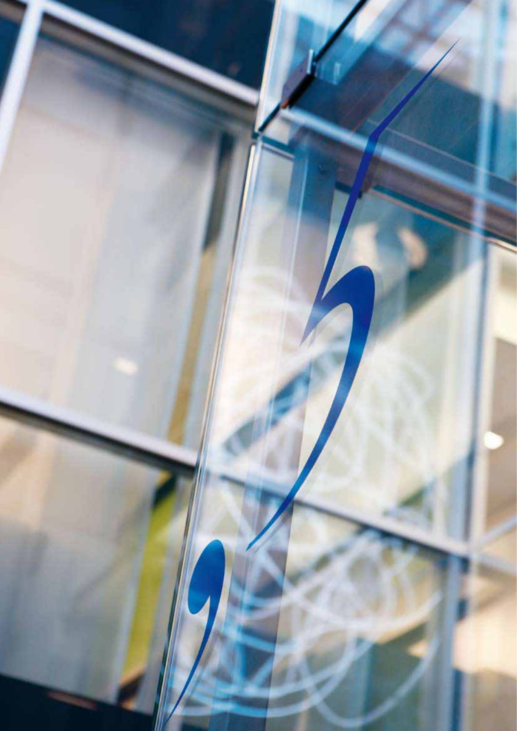